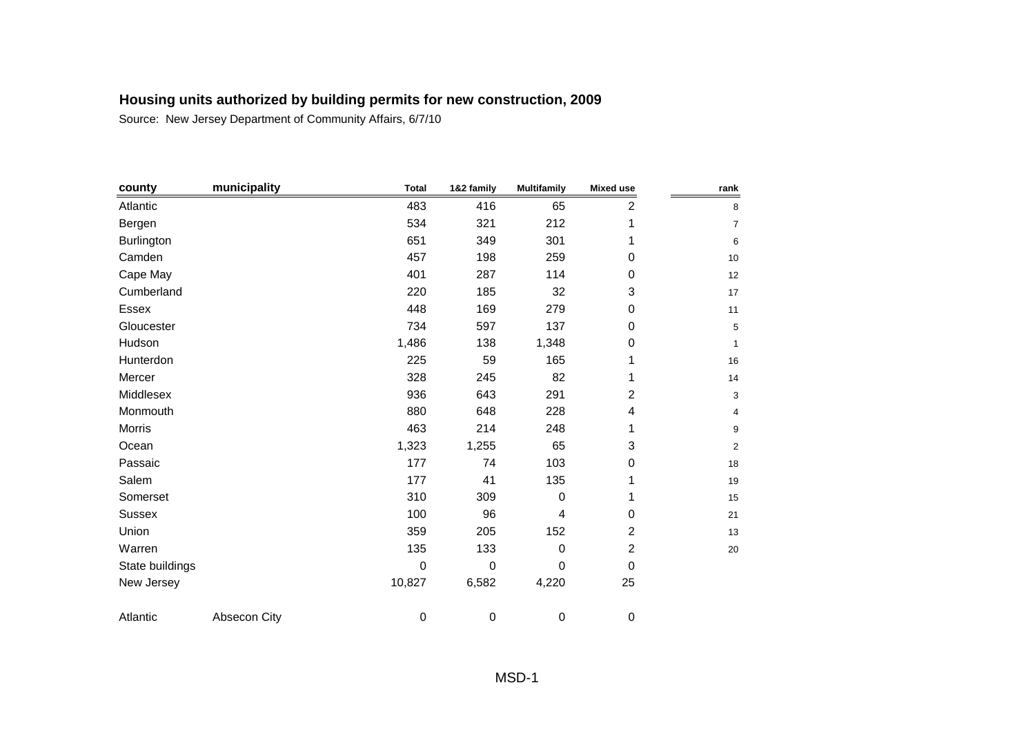| county          | municipality | <b>Total</b> | 1&2 family | <b>Multifamily</b> | <b>Mixed use</b> | rank             |
|-----------------|--------------|--------------|------------|--------------------|------------------|------------------|
| Atlantic        |              | 483          | 416        | 65                 | 2                | 8                |
| Bergen          |              | 534          | 321        | 212                | 1                | $\overline{7}$   |
| Burlington      |              | 651          | 349        | 301                | 1                | 6                |
| Camden          |              | 457          | 198        | 259                | $\Omega$         | $10$             |
| Cape May        |              | 401          | 287        | 114                | 0                | 12               |
| Cumberland      |              | 220          | 185        | 32                 | 3                | 17               |
| Essex           |              | 448          | 169        | 279                | 0                | 11               |
| Gloucester      |              | 734          | 597        | 137                | 0                | 5                |
| Hudson          |              | 1,486        | 138        | 1,348              | 0                | $\mathbf{1}$     |
| Hunterdon       |              | 225          | 59         | 165                | 1                | 16               |
| Mercer          |              | 328          | 245        | 82                 | 1                | 14               |
| Middlesex       |              | 936          | 643        | 291                | $\overline{c}$   | 3                |
| Monmouth        |              | 880          | 648        | 228                | 4                | 4                |
| Morris          |              | 463          | 214        | 248                | 1                | $\boldsymbol{9}$ |
| Ocean           |              | 1,323        | 1,255      | 65                 | 3                | $\mathbf 2$      |
| Passaic         |              | 177          | 74         | 103                | 0                | 18               |
| Salem           |              | 177          | 41         | 135                | 1                | 19               |
| Somerset        |              | 310          | 309        | $\mathbf 0$        | 1                | 15               |
| <b>Sussex</b>   |              | 100          | 96         | 4                  | 0                | 21               |
| Union           |              | 359          | 205        | 152                | $\overline{c}$   | 13               |
| Warren          |              | 135          | 133        | $\mathbf 0$        | $\overline{c}$   | $20\,$           |
| State buildings |              | 0            | 0          | $\mathbf 0$        | $\mathbf 0$      |                  |
| New Jersey      |              | 10,827       | 6,582      | 4,220              | 25               |                  |
| Atlantic        | Absecon City | 0            | 0          | $\boldsymbol{0}$   | 0                |                  |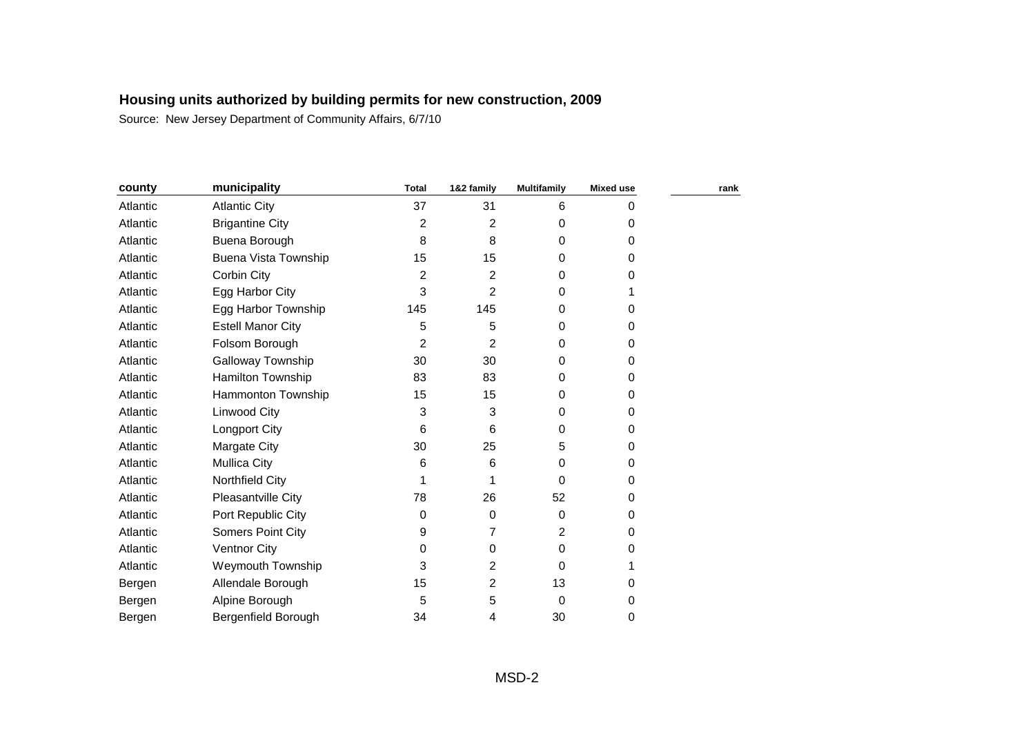| rank |
|------|
|      |
|      |
|      |
|      |
|      |
|      |
|      |
|      |
|      |
|      |
|      |
|      |
|      |
|      |
|      |
|      |
|      |
|      |
|      |
|      |
|      |
|      |
|      |
|      |
|      |
|      |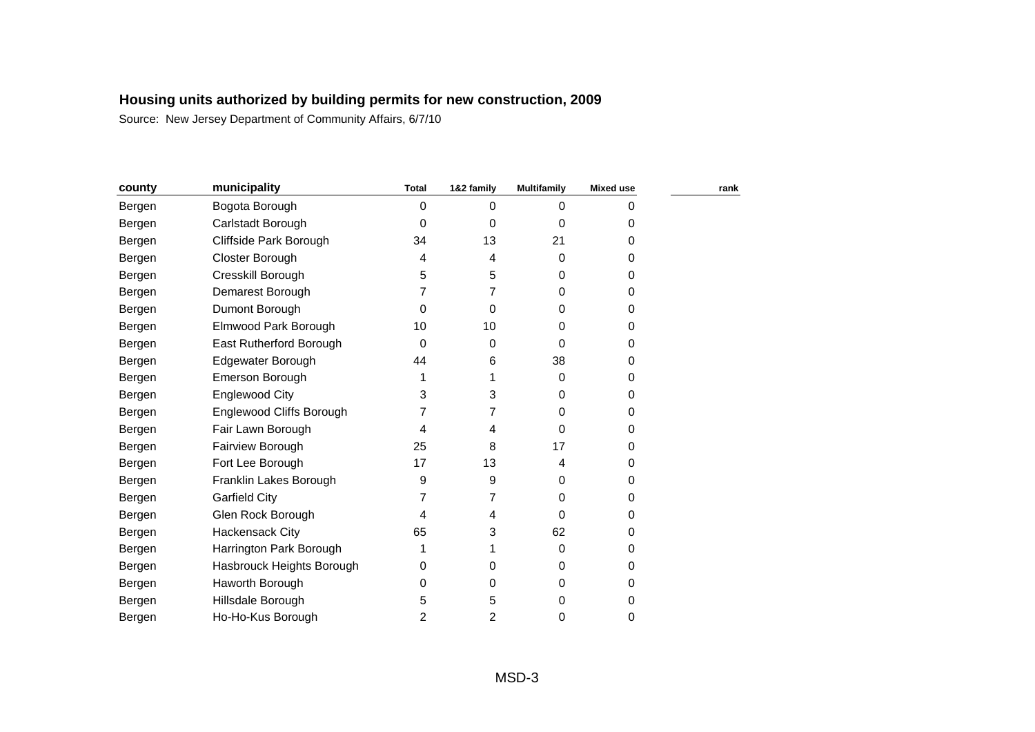| county | municipality              | <b>Total</b> | 1&2 family  | <b>Multifamily</b> | <b>Mixed use</b> | rank |
|--------|---------------------------|--------------|-------------|--------------------|------------------|------|
| Bergen | Bogota Borough            | 0            | 0           | $\Omega$           | 0                |      |
| Bergen | Carlstadt Borough         | 0            | $\mathbf 0$ | 0                  | 0                |      |
| Bergen | Cliffside Park Borough    | 34           | 13          | 21                 | 0                |      |
| Bergen | Closter Borough           | 4            | 4           | 0                  | 0                |      |
| Bergen | Cresskill Borough         | 5            | 5           | 0                  | 0                |      |
| Bergen | Demarest Borough          | 7            | 7           | 0                  | 0                |      |
| Bergen | Dumont Borough            | 0            | $\Omega$    | 0                  | 0                |      |
| Bergen | Elmwood Park Borough      | 10           | 10          | 0                  | 0                |      |
| Bergen | East Rutherford Borough   | 0            | $\Omega$    | 0                  | 0                |      |
| Bergen | Edgewater Borough         | 44           | 6           | 38                 | 0                |      |
| Bergen | Emerson Borough           | 1            |             | 0                  | 0                |      |
| Bergen | <b>Englewood City</b>     | 3            | 3           | 0                  | 0                |      |
| Bergen | Englewood Cliffs Borough  |              | 7           | 0                  | 0                |      |
| Bergen | Fair Lawn Borough         | 4            | 4           | 0                  | 0                |      |
| Bergen | Fairview Borough          | 25           | 8           | 17                 | 0                |      |
| Bergen | Fort Lee Borough          | 17           | 13          | 4                  | 0                |      |
| Bergen | Franklin Lakes Borough    | 9            | 9           | 0                  | 0                |      |
| Bergen | <b>Garfield City</b>      | 7            | 7           | 0                  | 0                |      |
| Bergen | Glen Rock Borough         | 4            | 4           | $\Omega$           | 0                |      |
| Bergen | <b>Hackensack City</b>    | 65           | 3           | 62                 | 0                |      |
| Bergen | Harrington Park Borough   | 1            |             | $\Omega$           | 0                |      |
| Bergen | Hasbrouck Heights Borough | 0            | 0           | $\Omega$           | 0                |      |
| Bergen | Haworth Borough           | 0            | 0           | 0                  | 0                |      |
| Bergen | Hillsdale Borough         | 5            | 5           | 0                  | 0                |      |
| Bergen | Ho-Ho-Kus Borough         | 2            | 2           | 0                  | 0                |      |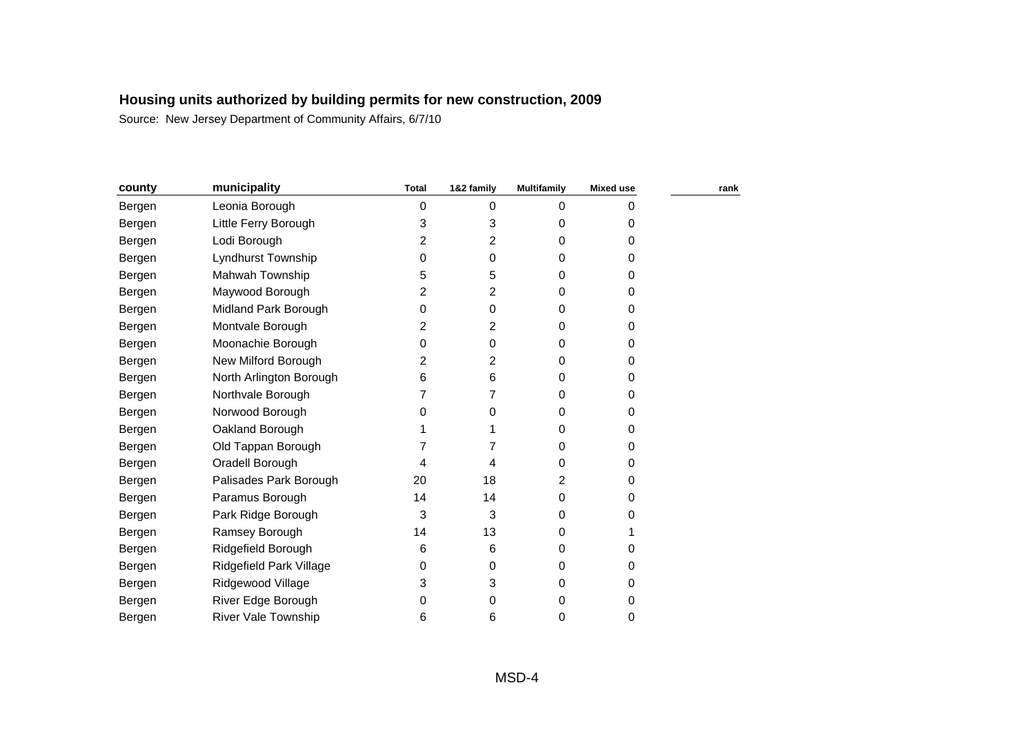| county | municipality               | <b>Total</b>   | 1&2 family | <b>Multifamily</b> | <b>Mixed use</b> | rank |
|--------|----------------------------|----------------|------------|--------------------|------------------|------|
| Bergen | Leonia Borough             | 0              | 0          | $\Omega$           | 0                |      |
| Bergen | Little Ferry Borough       | 3              | 3          | 0                  | 0                |      |
| Bergen | Lodi Borough               | $\overline{2}$ | 2          | 0                  | 0                |      |
| Bergen | Lyndhurst Township         | 0              | 0          | 0                  | 0                |      |
| Bergen | Mahwah Township            | 5              | 5          | 0                  | 0                |      |
| Bergen | Maywood Borough            | 2              | 2          | 0                  | 0                |      |
| Bergen | Midland Park Borough       | 0              | 0          | 0                  | 0                |      |
| Bergen | Montvale Borough           | 2              | 2          | 0                  | 0                |      |
| Bergen | Moonachie Borough          | 0              | 0          | 0                  | 0                |      |
| Bergen | New Milford Borough        | 2              | 2          | 0                  | 0                |      |
| Bergen | North Arlington Borough    | 6              | 6          | 0                  | 0                |      |
| Bergen | Northvale Borough          | 7              |            | 0                  | 0                |      |
| Bergen | Norwood Borough            | 0              | 0          | 0                  | 0                |      |
| Bergen | Oakland Borough            | 1              |            | 0                  | 0                |      |
| Bergen | Old Tappan Borough         | 7              | 7          | 0                  | 0                |      |
| Bergen | Oradell Borough            | 4              | 4          | 0                  | 0                |      |
| Bergen | Palisades Park Borough     | 20             | 18         | 2                  | O                |      |
| Bergen | Paramus Borough            | 14             | 14         | 0                  | 0                |      |
| Bergen | Park Ridge Borough         | 3              | 3          | 0                  | 0                |      |
| Bergen | Ramsey Borough             | 14             | 13         | 0                  |                  |      |
| Bergen | Ridgefield Borough         | 6              | 6          | 0                  | 0                |      |
| Bergen | Ridgefield Park Village    | 0              | 0          | 0                  | 0                |      |
| Bergen | Ridgewood Village          | 3              | 3          | 0                  | 0                |      |
| Bergen | River Edge Borough         | 0              | 0          | 0                  | 0                |      |
| Bergen | <b>River Vale Township</b> | 6              | 6          | 0                  | 0                |      |
|        |                            |                |            |                    |                  |      |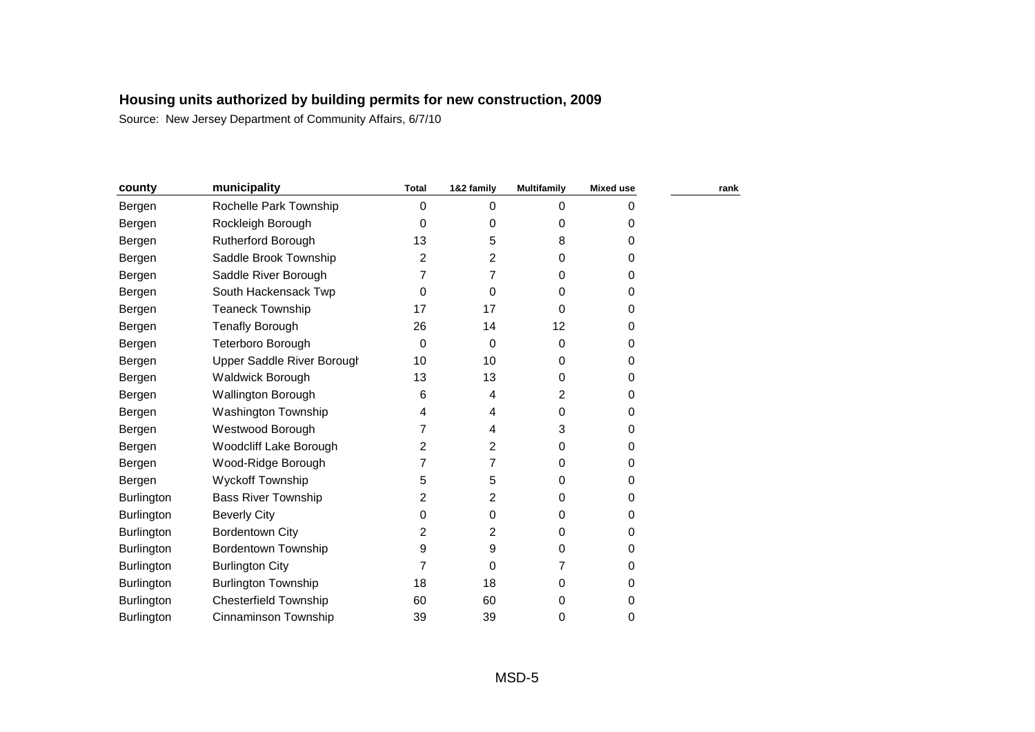| county            | municipality                 | <b>Total</b> | 1&2 family     | <b>Multifamily</b> | <b>Mixed use</b> | rank |
|-------------------|------------------------------|--------------|----------------|--------------------|------------------|------|
| Bergen            | Rochelle Park Township       | 0            | 0              | 0                  | 0                |      |
| Bergen            | Rockleigh Borough            | 0            | 0              | 0                  | 0                |      |
| Bergen            | Rutherford Borough           | 13           | 5              | 8                  | 0                |      |
| Bergen            | Saddle Brook Township        | 2            | $\overline{2}$ | 0                  | 0                |      |
| Bergen            | Saddle River Borough         | 7            | 7              | 0                  | 0                |      |
| Bergen            | South Hackensack Twp         | 0            | 0              | 0                  | 0                |      |
| Bergen            | <b>Teaneck Township</b>      | 17           | 17             | 0                  | 0                |      |
| Bergen            | <b>Tenafly Borough</b>       | 26           | 14             | 12                 | 0                |      |
| Bergen            | Teterboro Borough            | 0            | $\mathbf 0$    | 0                  | 0                |      |
| Bergen            | Upper Saddle River Borough   | 10           | 10             | 0                  | 0                |      |
| Bergen            | <b>Waldwick Borough</b>      | 13           | 13             | 0                  | 0                |      |
| Bergen            | <b>Wallington Borough</b>    | 6            | 4              | 2                  | 0                |      |
| Bergen            | Washington Township          | 4            | 4              | 0                  | 0                |      |
| Bergen            | Westwood Borough             | 7            | 4              | 3                  | 0                |      |
| Bergen            | Woodcliff Lake Borough       | 2            | 2              | 0                  | 0                |      |
| Bergen            | Wood-Ridge Borough           | 7            | 7              | 0                  | 0                |      |
| Bergen            | Wyckoff Township             | 5            | 5              | 0                  | 0                |      |
| Burlington        | <b>Bass River Township</b>   | 2            | 2              | 0                  | 0                |      |
| <b>Burlington</b> | <b>Beverly City</b>          | 0            | 0              | 0                  | 0                |      |
| Burlington        | <b>Bordentown City</b>       | 2            | $\overline{2}$ | 0                  | 0                |      |
| Burlington        | <b>Bordentown Township</b>   | 9            | 9              | 0                  | 0                |      |
| Burlington        | <b>Burlington City</b>       | 7            | 0              | 7                  | 0                |      |
| <b>Burlington</b> | <b>Burlington Township</b>   | 18           | 18             | 0                  | 0                |      |
| Burlington        | <b>Chesterfield Township</b> | 60           | 60             | 0                  | 0                |      |
| Burlington        | Cinnaminson Township         | 39           | 39             | 0                  | 0                |      |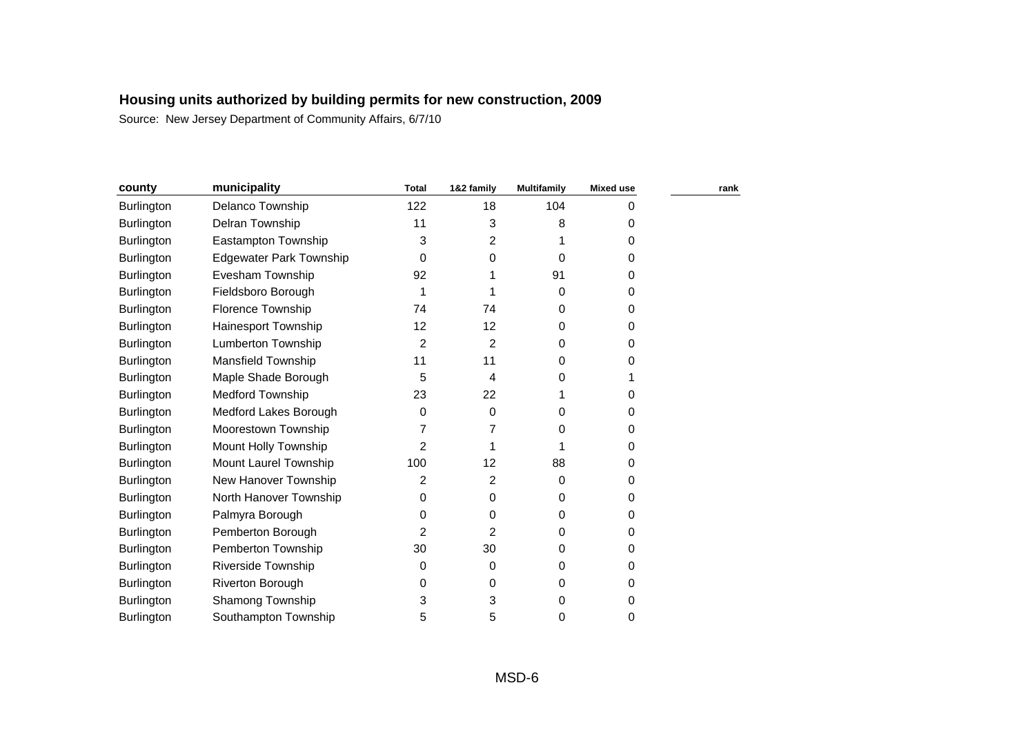| county            | municipality                   | <b>Total</b> | 1&2 family | <b>Multifamily</b> | <b>Mixed use</b> | rank |
|-------------------|--------------------------------|--------------|------------|--------------------|------------------|------|
| Burlington        | Delanco Township               | 122          | 18         | 104                | O                |      |
| <b>Burlington</b> | Delran Township                | 11           | 3          | 8                  | 0                |      |
| Burlington        | Eastampton Township            | 3            | 2          |                    | 0                |      |
| Burlington        | <b>Edgewater Park Township</b> | 0            | 0          | 0                  | 0                |      |
| <b>Burlington</b> | Evesham Township               | 92           |            | 91                 | 0                |      |
| <b>Burlington</b> | Fieldsboro Borough             | 1            |            | 0                  | 0                |      |
| <b>Burlington</b> | <b>Florence Township</b>       | 74           | 74         | 0                  | 0                |      |
| <b>Burlington</b> | Hainesport Township            | 12           | 12         | 0                  | 0                |      |
| <b>Burlington</b> | Lumberton Township             | 2            | 2          | 0                  | 0                |      |
| Burlington        | Mansfield Township             | 11           | 11         | 0                  | 0                |      |
| <b>Burlington</b> | Maple Shade Borough            | 5            | 4          | 0                  |                  |      |
| Burlington        | <b>Medford Township</b>        | 23           | 22         |                    | 0                |      |
| Burlington        | Medford Lakes Borough          | 0            | 0          | 0                  | 0                |      |
| <b>Burlington</b> | Moorestown Township            | 7            | 7          | 0                  | 0                |      |
| Burlington        | Mount Holly Township           | 2            |            |                    | 0                |      |
| <b>Burlington</b> | Mount Laurel Township          | 100          | 12         | 88                 | 0                |      |
| <b>Burlington</b> | New Hanover Township           | 2            | 2          | 0                  | 0                |      |
| <b>Burlington</b> | North Hanover Township         | 0            | 0          | 0                  | 0                |      |
| Burlington        | Palmyra Borough                | 0            | 0          | 0                  | 0                |      |
| <b>Burlington</b> | Pemberton Borough              | 2            | 2          | 0                  | 0                |      |
| Burlington        | Pemberton Township             | 30           | 30         | 0                  | 0                |      |
| Burlington        | Riverside Township             | 0            | 0          | 0                  | 0                |      |
| Burlington        | Riverton Borough               | 0            | 0          | 0                  | 0                |      |
| Burlington        | Shamong Township               | 3            | 3          | 0                  | 0                |      |
| Burlington        | Southampton Township           | 5            | 5          | 0                  | 0                |      |
|                   |                                |              |            |                    |                  |      |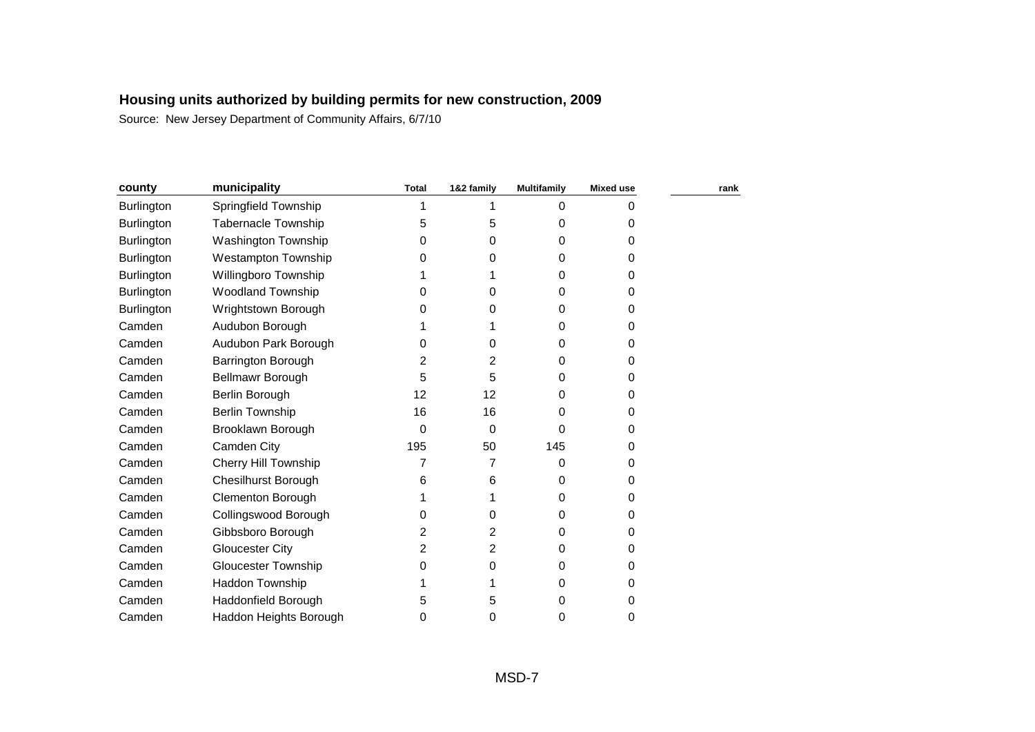| county            | municipality               | <b>Total</b> | 1&2 family | <b>Multifamily</b> | <b>Mixed use</b> | rank |
|-------------------|----------------------------|--------------|------------|--------------------|------------------|------|
| Burlington        | Springfield Township       | 1            |            | 0                  | O                |      |
| Burlington        | <b>Tabernacle Township</b> | 5            | 5          | 0                  | 0                |      |
| <b>Burlington</b> | Washington Township        | 0            | 0          | 0                  | 0                |      |
| <b>Burlington</b> | <b>Westampton Township</b> | 0            | 0          | 0                  | 0                |      |
| Burlington        | Willingboro Township       |              |            | 0                  | 0                |      |
| Burlington        | <b>Woodland Township</b>   | 0            | 0          | 0                  | 0                |      |
| Burlington        | Wrightstown Borough        | 0            | 0          | 0                  | 0                |      |
| Camden            | Audubon Borough            |              |            | 0                  | 0                |      |
| Camden            | Audubon Park Borough       | 0            | 0          | 0                  | 0                |      |
| Camden            | Barrington Borough         | 2            | 2          | 0                  | 0                |      |
| Camden            | Bellmawr Borough           | 5            | 5          | 0                  | 0                |      |
| Camden            | Berlin Borough             | 12           | 12         | 0                  | 0                |      |
| Camden            | <b>Berlin Township</b>     | 16           | 16         | 0                  | 0                |      |
| Camden            | Brooklawn Borough          | 0            | 0          | 0                  | 0                |      |
| Camden            | Camden City                | 195          | 50         | 145                | 0                |      |
| Camden            | Cherry Hill Township       | 7            | 7          | 0                  | 0                |      |
| Camden            | <b>Chesilhurst Borough</b> | 6            | 6          | $\Omega$           | 0                |      |
| Camden            | <b>Clementon Borough</b>   |              |            | 0                  | 0                |      |
| Camden            | Collingswood Borough       | 0            | 0          | 0                  | 0                |      |
| Camden            | Gibbsboro Borough          | 2            | 2          | 0                  | 0                |      |
| Camden            | <b>Gloucester City</b>     | 2            | 2          | 0                  | 0                |      |
| Camden            | <b>Gloucester Township</b> | 0            | 0          | 0                  | 0                |      |
| Camden            | <b>Haddon Township</b>     |              |            | 0                  | 0                |      |
| Camden            | Haddonfield Borough        | 5            | 5          | 0                  | 0                |      |
| Camden            | Haddon Heights Borough     | 0            | 0          | 0                  | 0                |      |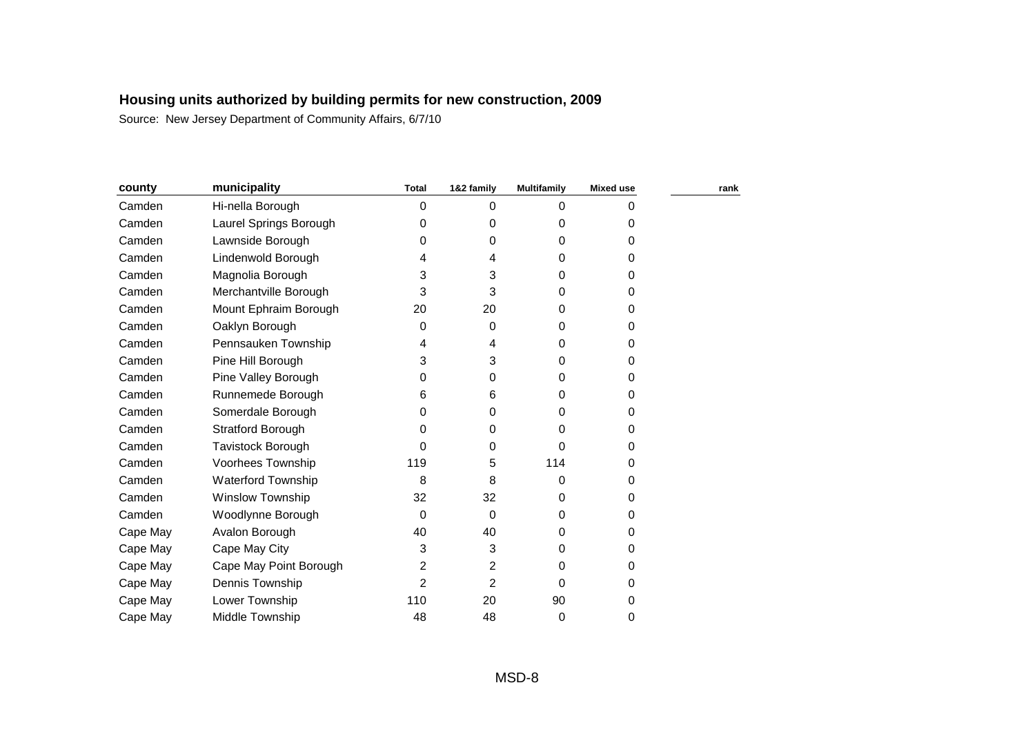| county   | municipality              | <b>Total</b> | 1&2 family | <b>Multifamily</b> | <b>Mixed use</b> | rank |
|----------|---------------------------|--------------|------------|--------------------|------------------|------|
| Camden   | Hi-nella Borough          | 0            | 0          | 0                  | 0                |      |
| Camden   | Laurel Springs Borough    | 0            | 0          | 0                  | 0                |      |
| Camden   | Lawnside Borough          | 0            | 0          | 0                  | 0                |      |
| Camden   | Lindenwold Borough        | 4            | 4          | 0                  | 0                |      |
| Camden   | Magnolia Borough          | 3            | 3          | 0                  | 0                |      |
| Camden   | Merchantville Borough     | 3            | 3          | 0                  | 0                |      |
| Camden   | Mount Ephraim Borough     | 20           | 20         | 0                  | 0                |      |
| Camden   | Oaklyn Borough            | 0            | 0          | 0                  | 0                |      |
| Camden   | Pennsauken Township       | 4            | 4          | 0                  | 0                |      |
| Camden   | Pine Hill Borough         | 3            | 3          | 0                  | 0                |      |
| Camden   | Pine Valley Borough       | 0            | 0          | 0                  | 0                |      |
| Camden   | Runnemede Borough         | 6            | 6          | 0                  | 0                |      |
| Camden   | Somerdale Borough         | 0            | 0          | 0                  | 0                |      |
| Camden   | Stratford Borough         | 0            | 0          | 0                  | 0                |      |
| Camden   | Tavistock Borough         | 0            | 0          | 0                  | 0                |      |
| Camden   | Voorhees Township         | 119          | 5          | 114                | 0                |      |
| Camden   | <b>Waterford Township</b> | 8            | 8          | 0                  | 0                |      |
| Camden   | <b>Winslow Township</b>   | 32           | 32         | 0                  | 0                |      |
| Camden   | Woodlynne Borough         | 0            | 0          | 0                  | 0                |      |
| Cape May | Avalon Borough            | 40           | 40         | 0                  | 0                |      |
| Cape May | Cape May City             | 3            | 3          | 0                  | 0                |      |
| Cape May | Cape May Point Borough    | 2            | 2          | 0                  | 0                |      |
| Cape May | Dennis Township           | 2            | 2          | 0                  | 0                |      |
| Cape May | Lower Township            | 110          | 20         | 90                 | 0                |      |
| Cape May | Middle Township           | 48           | 48         | $\mathbf 0$        | 0                |      |
|          |                           |              |            |                    |                  |      |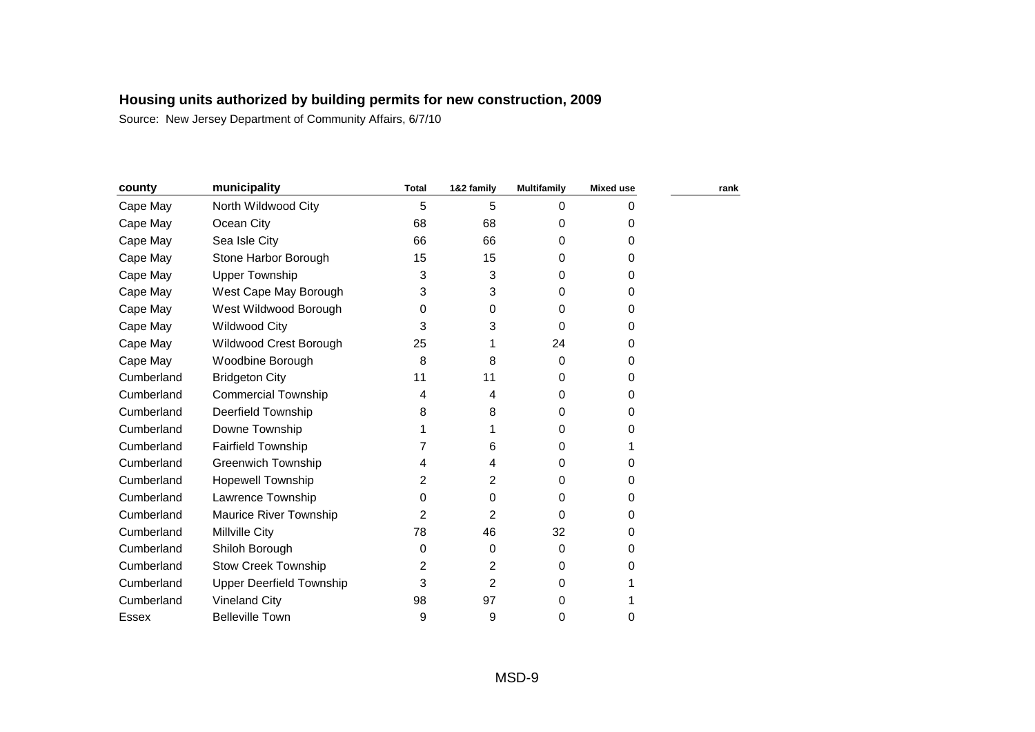| county     | municipality                    | <b>Total</b> | 1&2 family     | <b>Multifamily</b> | <b>Mixed use</b> | rank |
|------------|---------------------------------|--------------|----------------|--------------------|------------------|------|
| Cape May   | North Wildwood City             | 5            | 5              | 0                  | 0                |      |
| Cape May   | Ocean City                      | 68           | 68             | 0                  | 0                |      |
| Cape May   | Sea Isle City                   | 66           | 66             | 0                  | 0                |      |
| Cape May   | Stone Harbor Borough            | 15           | 15             | 0                  | 0                |      |
| Cape May   | <b>Upper Township</b>           | 3            | 3              | 0                  | 0                |      |
| Cape May   | West Cape May Borough           | 3            | 3              | 0                  | 0                |      |
| Cape May   | West Wildwood Borough           | 0            | 0              | 0                  | 0                |      |
| Cape May   | <b>Wildwood City</b>            | 3            | 3              | 0                  | 0                |      |
| Cape May   | Wildwood Crest Borough          | 25           |                | 24                 | 0                |      |
| Cape May   | Woodbine Borough                | 8            | 8              | 0                  | 0                |      |
| Cumberland | <b>Bridgeton City</b>           | 11           | 11             | 0                  | 0                |      |
| Cumberland | <b>Commercial Township</b>      | 4            | 4              | 0                  | 0                |      |
| Cumberland | <b>Deerfield Township</b>       | 8            | 8              | 0                  | 0                |      |
| Cumberland | Downe Township                  | 1            |                | 0                  | 0                |      |
| Cumberland | <b>Fairfield Township</b>       | 7            | 6              | 0                  | 1                |      |
| Cumberland | <b>Greenwich Township</b>       | 4            | 4              | 0                  | 0                |      |
| Cumberland | <b>Hopewell Township</b>        | 2            | 2              | 0                  | 0                |      |
| Cumberland | Lawrence Township               | 0            | 0              | 0                  | 0                |      |
| Cumberland | Maurice River Township          | 2            | 2              | 0                  | 0                |      |
| Cumberland | Millville City                  | 78           | 46             | 32                 | 0                |      |
| Cumberland | Shiloh Borough                  | 0            | 0              | 0                  | 0                |      |
| Cumberland | <b>Stow Creek Township</b>      | 2            | 2              | 0                  | 0                |      |
| Cumberland | <b>Upper Deerfield Township</b> | 3            | $\overline{2}$ | 0                  |                  |      |
| Cumberland | <b>Vineland City</b>            | 98           | 97             | 0                  |                  |      |
| Essex      | <b>Belleville Town</b>          | 9            | 9              | 0                  | 0                |      |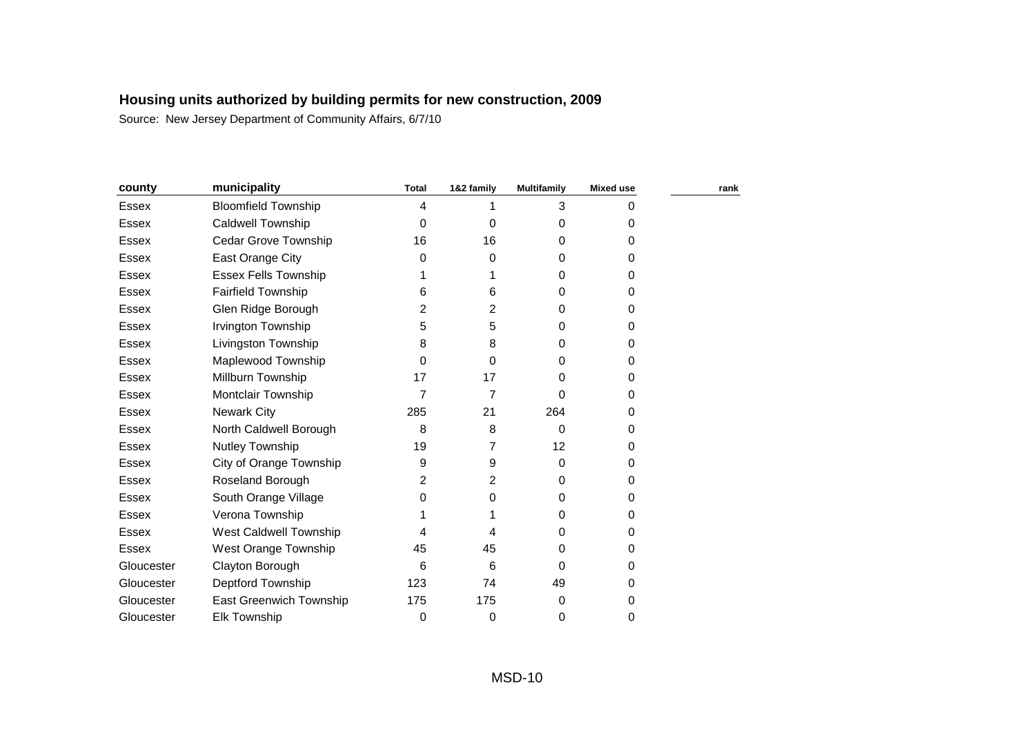| county       | municipality                | <b>Total</b>   | 1&2 family | <b>Multifamily</b> | <b>Mixed use</b> | rank |
|--------------|-----------------------------|----------------|------------|--------------------|------------------|------|
| <b>Essex</b> | <b>Bloomfield Township</b>  | 4              |            | 3                  |                  |      |
| Essex        | <b>Caldwell Township</b>    | 0              | 0          | 0                  | 0                |      |
| <b>Essex</b> | Cedar Grove Township        | 16             | 16         | 0                  | 0                |      |
| <b>Essex</b> | East Orange City            | 0              | 0          | 0                  | 0                |      |
| Essex        | <b>Essex Fells Township</b> |                |            | 0                  | 0                |      |
| <b>Essex</b> | <b>Fairfield Township</b>   | 6              | 6          | 0                  | 0                |      |
| Essex        | Glen Ridge Borough          | $\overline{2}$ | 2          | 0                  | 0                |      |
| Essex        | Irvington Township          | 5              | 5          | 0                  | 0                |      |
| Essex        | Livingston Township         | 8              | 8          | 0                  | 0                |      |
| <b>Essex</b> | Maplewood Township          | 0              | 0          | 0                  | 0                |      |
| Essex        | Millburn Township           | 17             | 17         | 0                  | 0                |      |
| <b>Essex</b> | Montclair Township          | 7              | 7          | 0                  | 0                |      |
| Essex        | <b>Newark City</b>          | 285            | 21         | 264                | 0                |      |
| <b>Essex</b> | North Caldwell Borough      | 8              | 8          | 0                  | 0                |      |
| Essex        | Nutley Township             | 19             | 7          | 12                 | 0                |      |
| Essex        | City of Orange Township     | 9              | 9          | 0                  | 0                |      |
| Essex        | Roseland Borough            | $\overline{2}$ | 2          | 0                  | 0                |      |
| Essex        | South Orange Village        | 0              | 0          | 0                  | 0                |      |
| <b>Essex</b> | Verona Township             |                |            | 0                  | 0                |      |
| <b>Essex</b> | West Caldwell Township      | 4              | 4          | 0                  | 0                |      |
| <b>Essex</b> | West Orange Township        | 45             | 45         | 0                  | 0                |      |
| Gloucester   | Clayton Borough             | 6              | 6          | $\Omega$           | 0                |      |
| Gloucester   | Deptford Township           | 123            | 74         | 49                 | 0                |      |
| Gloucester   | East Greenwich Township     | 175            | 175        | 0                  | 0                |      |
| Gloucester   | <b>Elk Township</b>         | 0              | 0          | 0                  | 0                |      |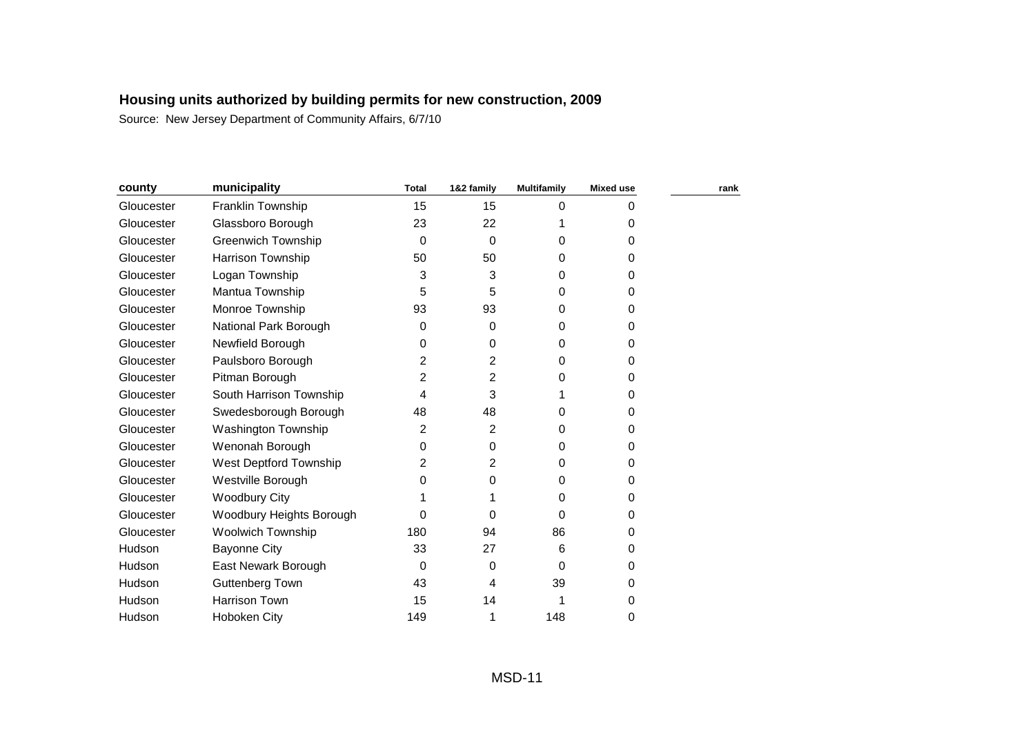| county     | municipality               | <b>Total</b> | 1&2 family  | <b>Multifamily</b> | <b>Mixed use</b> | rank |
|------------|----------------------------|--------------|-------------|--------------------|------------------|------|
| Gloucester | Franklin Township          | 15           | 15          | 0                  | 0                |      |
| Gloucester | Glassboro Borough          | 23           | 22          |                    | 0                |      |
| Gloucester | <b>Greenwich Township</b>  | 0            | $\Omega$    | 0                  | 0                |      |
| Gloucester | Harrison Township          | 50           | 50          | 0                  | 0                |      |
| Gloucester | Logan Township             | 3            | 3           | 0                  | 0                |      |
| Gloucester | Mantua Township            | 5            | 5           | 0                  | 0                |      |
| Gloucester | Monroe Township            | 93           | 93          | 0                  | 0                |      |
| Gloucester | National Park Borough      | 0            | 0           | 0                  | 0                |      |
| Gloucester | Newfield Borough           | 0            | 0           | 0                  | 0                |      |
| Gloucester | Paulsboro Borough          | 2            | 2           | 0                  | 0                |      |
| Gloucester | Pitman Borough             | 2            | 2           | 0                  | 0                |      |
| Gloucester | South Harrison Township    | 4            | 3           |                    | 0                |      |
| Gloucester | Swedesborough Borough      | 48           | 48          | 0                  | 0                |      |
| Gloucester | <b>Washington Township</b> | 2            | 2           | 0                  | 0                |      |
| Gloucester | Wenonah Borough            | 0            | 0           | 0                  | 0                |      |
| Gloucester | West Deptford Township     | 2            | 2           | 0                  | 0                |      |
| Gloucester | Westville Borough          | 0            | 0           | 0                  | 0                |      |
| Gloucester | <b>Woodbury City</b>       |              |             | 0                  | 0                |      |
| Gloucester | Woodbury Heights Borough   | 0            | 0           | 0                  | 0                |      |
| Gloucester | <b>Woolwich Township</b>   | 180          | 94          | 86                 | 0                |      |
| Hudson     | <b>Bayonne City</b>        | 33           | 27          | 6                  | 0                |      |
| Hudson     | East Newark Borough        | 0            | $\mathbf 0$ | $\Omega$           | 0                |      |
| Hudson     | Guttenberg Town            | 43           | 4           | 39                 | 0                |      |
| Hudson     | <b>Harrison Town</b>       | 15           | 14          | 1                  | 0                |      |
| Hudson     | Hoboken City               | 149          | 1           | 148                | 0                |      |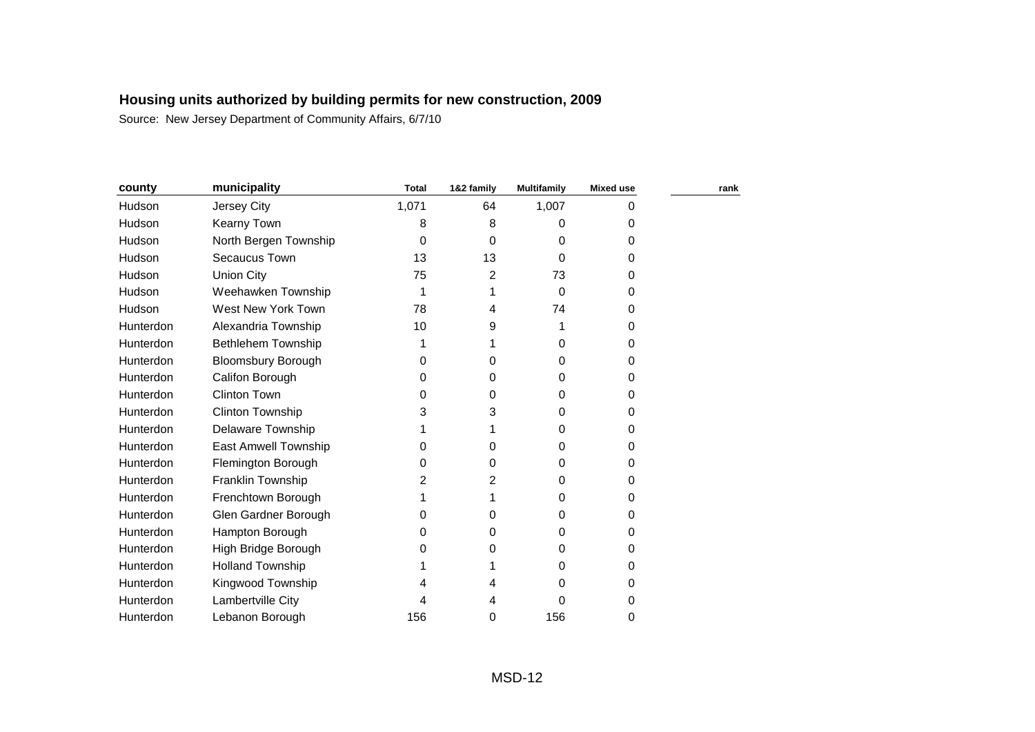| county    | municipality              | <b>Total</b> | 1&2 family | <b>Multifamily</b> | <b>Mixed use</b> | rank |
|-----------|---------------------------|--------------|------------|--------------------|------------------|------|
| Hudson    | Jersey City               | 1,071        | 64         | 1,007              | 0                |      |
| Hudson    | Kearny Town               | 8            | 8          | 0                  | 0                |      |
| Hudson    | North Bergen Township     | 0            | 0          | 0                  | 0                |      |
| Hudson    | Secaucus Town             | 13           | 13         | 0                  | 0                |      |
| Hudson    | <b>Union City</b>         | 75           | 2          | 73                 | 0                |      |
| Hudson    | Weehawken Township        | 1            |            | 0                  | 0                |      |
| Hudson    | West New York Town        | 78           | 4          | 74                 | 0                |      |
| Hunterdon | Alexandria Township       | 10           | 9          | 1                  | 0                |      |
| Hunterdon | <b>Bethlehem Township</b> | 1            |            | 0                  | 0                |      |
| Hunterdon | <b>Bloomsbury Borough</b> | 0            | 0          | 0                  | 0                |      |
| Hunterdon | Califon Borough           | 0            | 0          | 0                  | 0                |      |
| Hunterdon | Clinton Town              | 0            | 0          | 0                  | 0                |      |
| Hunterdon | <b>Clinton Township</b>   | 3            | 3          | 0                  | 0                |      |
| Hunterdon | <b>Delaware Township</b>  | 1            |            | 0                  | 0                |      |
| Hunterdon | East Amwell Township      | 0            | 0          | 0                  | 0                |      |
| Hunterdon | Flemington Borough        | 0            | 0          | 0                  | 0                |      |
| Hunterdon | Franklin Township         | 2            | 2          | 0                  | 0                |      |
| Hunterdon | Frenchtown Borough        |              |            | 0                  | 0                |      |
| Hunterdon | Glen Gardner Borough      | 0            | 0          | 0                  | 0                |      |
| Hunterdon | Hampton Borough           | 0            | 0          | 0                  | 0                |      |
| Hunterdon | High Bridge Borough       | 0            | 0          | 0                  | 0                |      |
| Hunterdon | <b>Holland Township</b>   |              |            | 0                  | 0                |      |
| Hunterdon | Kingwood Township         | 4            | 4          | 0                  | 0                |      |
| Hunterdon | Lambertville City         | 4            | 4          | 0                  | 0                |      |
| Hunterdon | Lebanon Borough           | 156          | 0          | 156                | 0                |      |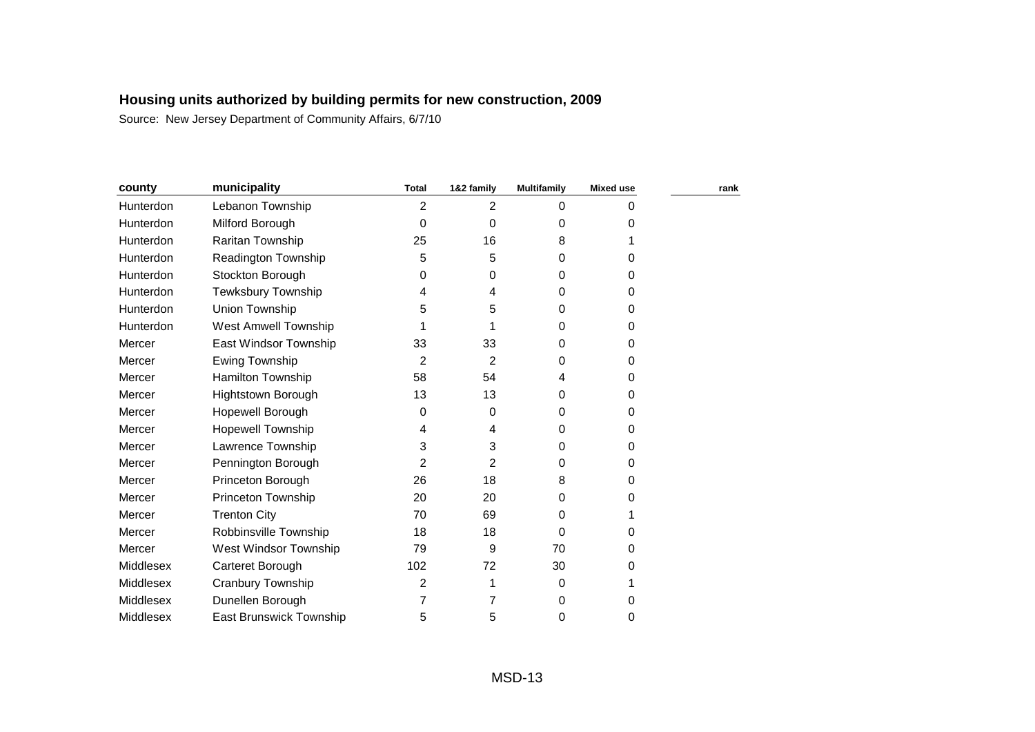| county    | municipality                | <b>Total</b> | 1&2 family     | <b>Multifamily</b> | <b>Mixed use</b> | rank |
|-----------|-----------------------------|--------------|----------------|--------------------|------------------|------|
| Hunterdon | Lebanon Township            | 2            | 2              | 0                  | 0                |      |
| Hunterdon | Milford Borough             | 0            | $\mathbf 0$    | 0                  | 0                |      |
| Hunterdon | Raritan Township            | 25           | 16             | 8                  |                  |      |
| Hunterdon | Readington Township         | 5            | 5              | 0                  | 0                |      |
| Hunterdon | Stockton Borough            | 0            | 0              | 0                  | 0                |      |
| Hunterdon | Tewksbury Township          | 4            | 4              | 0                  | 0                |      |
| Hunterdon | Union Township              | 5            | 5              | 0                  | 0                |      |
| Hunterdon | <b>West Amwell Township</b> |              |                | 0                  | 0                |      |
| Mercer    | East Windsor Township       | 33           | 33             | 0                  | 0                |      |
| Mercer    | Ewing Township              | 2            | $\overline{2}$ | 0                  | 0                |      |
| Mercer    | Hamilton Township           | 58           | 54             | 4                  | 0                |      |
| Mercer    | <b>Hightstown Borough</b>   | 13           | 13             | 0                  | 0                |      |
| Mercer    | Hopewell Borough            | 0            | 0              | 0                  | 0                |      |
| Mercer    | <b>Hopewell Township</b>    | 4            | 4              | 0                  | 0                |      |
| Mercer    | Lawrence Township           | 3            | 3              | 0                  | 0                |      |
| Mercer    | Pennington Borough          | 2            | 2              | 0                  | 0                |      |
| Mercer    | Princeton Borough           | 26           | 18             | 8                  | 0                |      |
| Mercer    | <b>Princeton Township</b>   | 20           | 20             | 0                  | 0                |      |
| Mercer    | <b>Trenton City</b>         | 70           | 69             | 0                  |                  |      |
| Mercer    | Robbinsville Township       | 18           | 18             | $\Omega$           | 0                |      |
| Mercer    | West Windsor Township       | 79           | 9              | 70                 | 0                |      |
| Middlesex | Carteret Borough            | 102          | 72             | 30                 | 0                |      |
| Middlesex | Cranbury Township           | 2            |                | 0                  |                  |      |
| Middlesex | Dunellen Borough            | 7            | 7              | 0                  | 0                |      |
| Middlesex | East Brunswick Township     | 5            | 5              | 0                  | 0                |      |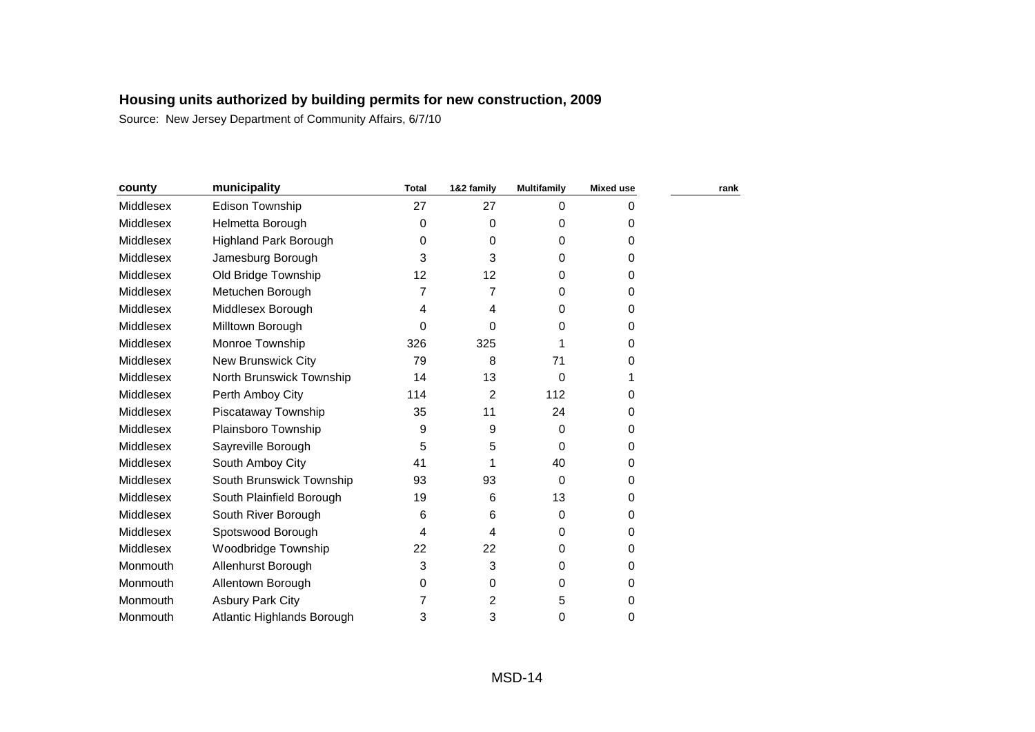| county    | municipality                 | <b>Total</b>      | 1&2 family | <b>Multifamily</b> | <b>Mixed use</b> | rank |
|-----------|------------------------------|-------------------|------------|--------------------|------------------|------|
| Middlesex | Edison Township              | 27                | 27         | $\Omega$           | 0                |      |
| Middlesex | Helmetta Borough             | 0                 | 0          | $\Omega$           | 0                |      |
| Middlesex | <b>Highland Park Borough</b> | 0                 | 0          | $\Omega$           | 0                |      |
| Middlesex | Jamesburg Borough            | 3                 | 3          | 0                  | 0                |      |
| Middlesex | Old Bridge Township          | $12 \overline{ }$ | 12         | 0                  | 0                |      |
| Middlesex | Metuchen Borough             | 7                 | 7          | $\Omega$           | 0                |      |
| Middlesex | Middlesex Borough            | 4                 | 4          | 0                  | 0                |      |
| Middlesex | Milltown Borough             | 0                 | 0          | 0                  | 0                |      |
| Middlesex | Monroe Township              | 326               | 325        |                    | 0                |      |
| Middlesex | <b>New Brunswick City</b>    | 79                | 8          | 71                 | 0                |      |
| Middlesex | North Brunswick Township     | 14                | 13         | 0                  |                  |      |
| Middlesex | Perth Amboy City             | 114               | 2          | 112                | 0                |      |
| Middlesex | Piscataway Township          | 35                | 11         | 24                 | 0                |      |
| Middlesex | Plainsboro Township          | 9                 | 9          | $\Omega$           | 0                |      |
| Middlesex | Sayreville Borough           | 5                 | 5          | $\Omega$           | 0                |      |
| Middlesex | South Amboy City             | 41                | 1          | 40                 | 0                |      |
| Middlesex | South Brunswick Township     | 93                | 93         | $\Omega$           | 0                |      |
| Middlesex | South Plainfield Borough     | 19                | 6          | 13                 | 0                |      |
| Middlesex | South River Borough          | 6                 | 6          | 0                  | 0                |      |
| Middlesex | Spotswood Borough            | 4                 | 4          | $\Omega$           | 0                |      |
| Middlesex | Woodbridge Township          | 22                | 22         | $\Omega$           | 0                |      |
| Monmouth  | Allenhurst Borough           | 3                 | 3          | 0                  | 0                |      |
| Monmouth  | Allentown Borough            | 0                 | 0          | $\Omega$           | 0                |      |
| Monmouth  | <b>Asbury Park City</b>      | 7                 | 2          | 5                  | 0                |      |
| Monmouth  | Atlantic Highlands Borough   | 3                 | 3          | 0                  | 0                |      |
|           |                              |                   |            |                    |                  |      |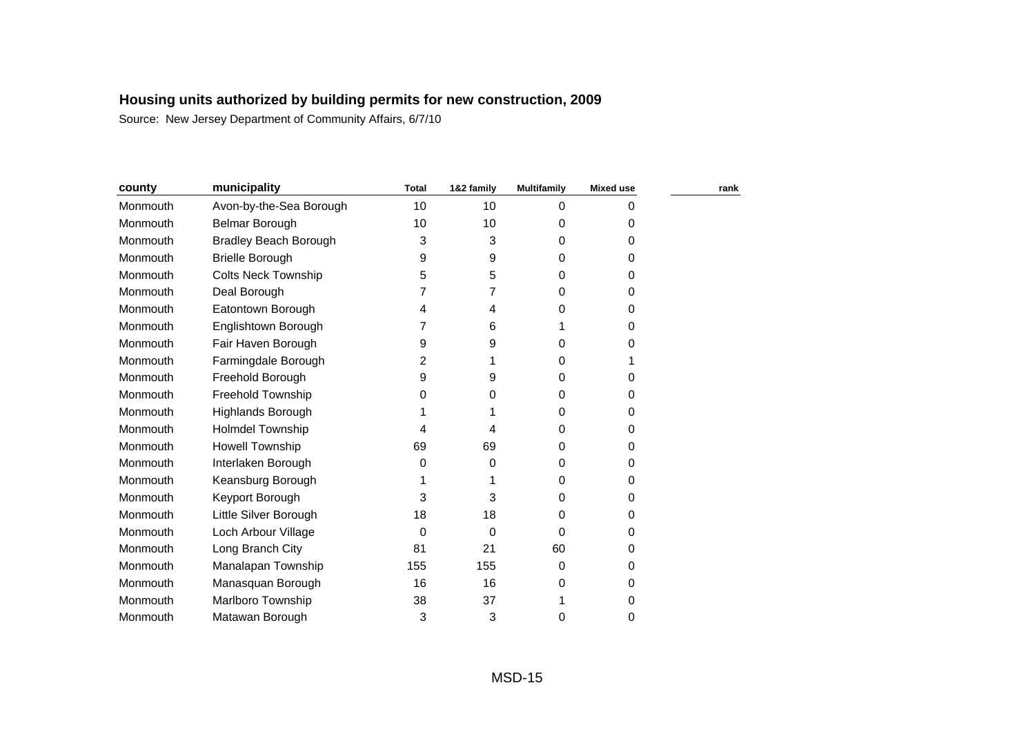| county   | municipality                 | <b>Total</b> | 1&2 family | <b>Multifamily</b> | <b>Mixed use</b> | rank |
|----------|------------------------------|--------------|------------|--------------------|------------------|------|
| Monmouth | Avon-by-the-Sea Borough      | 10           | 10         | 0                  | 0                |      |
| Monmouth | Belmar Borough               | 10           | 10         | 0                  | 0                |      |
| Monmouth | <b>Bradley Beach Borough</b> | 3            | 3          | 0                  | 0                |      |
| Monmouth | <b>Brielle Borough</b>       | 9            | 9          | 0                  | 0                |      |
| Monmouth | <b>Colts Neck Township</b>   | 5            | 5          | 0                  | 0                |      |
| Monmouth | Deal Borough                 | 7            | 7          | 0                  | 0                |      |
| Monmouth | Eatontown Borough            | 4            | 4          | 0                  | 0                |      |
| Monmouth | Englishtown Borough          | 7            | 6          |                    | 0                |      |
| Monmouth | Fair Haven Borough           | 9            | 9          | 0                  | 0                |      |
| Monmouth | Farmingdale Borough          | 2            |            | 0                  |                  |      |
| Monmouth | Freehold Borough             | 9            | 9          | 0                  | 0                |      |
| Monmouth | Freehold Township            | 0            | 0          | 0                  | 0                |      |
| Monmouth | Highlands Borough            |              |            | 0                  | 0                |      |
| Monmouth | <b>Holmdel Township</b>      | 4            | 4          | 0                  | 0                |      |
| Monmouth | <b>Howell Township</b>       | 69           | 69         | 0                  | 0                |      |
| Monmouth | Interlaken Borough           | 0            | 0          | 0                  | 0                |      |
| Monmouth | Keansburg Borough            |              |            | 0                  | 0                |      |
| Monmouth | Keyport Borough              | 3            | 3          | 0                  | 0                |      |
| Monmouth | Little Silver Borough        | 18           | 18         | 0                  | 0                |      |
| Monmouth | Loch Arbour Village          | 0            | 0          | 0                  | 0                |      |
| Monmouth | Long Branch City             | 81           | 21         | 60                 | 0                |      |
| Monmouth | Manalapan Township           | 155          | 155        | 0                  | 0                |      |
| Monmouth | Manasquan Borough            | 16           | 16         | 0                  | 0                |      |
| Monmouth | <b>Marlboro Township</b>     | 38           | 37         | 1                  | 0                |      |
| Monmouth | Matawan Borough              | 3            | 3          | 0                  | 0                |      |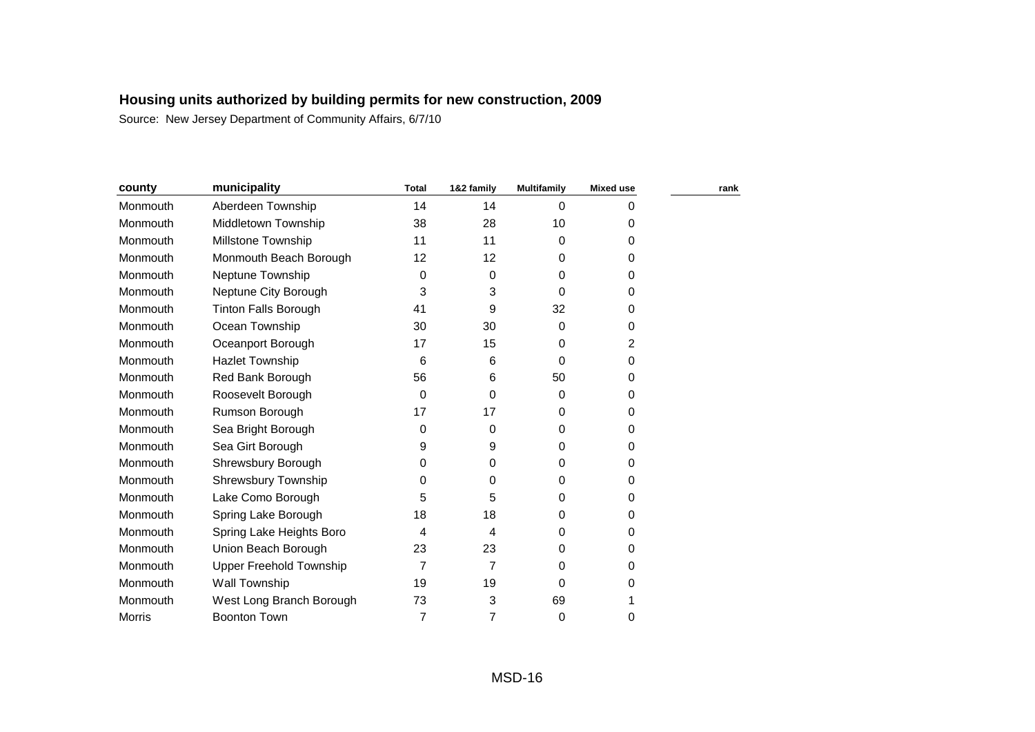| county   | municipality                   | <b>Total</b> | 1&2 family | <b>Multifamily</b> | <b>Mixed use</b> | rank |
|----------|--------------------------------|--------------|------------|--------------------|------------------|------|
| Monmouth | Aberdeen Township              | 14           | 14         | $\Omega$           | 0                |      |
| Monmouth | Middletown Township            | 38           | 28         | 10                 | 0                |      |
| Monmouth | <b>Millstone Township</b>      | 11           | 11         | 0                  | 0                |      |
| Monmouth | Monmouth Beach Borough         | 12           | 12         | 0                  | 0                |      |
| Monmouth | Neptune Township               | 0            | 0          | 0                  | 0                |      |
| Monmouth | Neptune City Borough           | 3            | 3          | 0                  | 0                |      |
| Monmouth | <b>Tinton Falls Borough</b>    | 41           | 9          | 32                 | 0                |      |
| Monmouth | Ocean Township                 | 30           | 30         | 0                  | 0                |      |
| Monmouth | Oceanport Borough              | 17           | 15         | 0                  | 2                |      |
| Monmouth | <b>Hazlet Township</b>         | 6            | 6          | 0                  | 0                |      |
| Monmouth | Red Bank Borough               | 56           | 6          | 50                 | 0                |      |
| Monmouth | Roosevelt Borough              | 0            | $\Omega$   | 0                  | 0                |      |
| Monmouth | Rumson Borough                 | 17           | 17         | 0                  | 0                |      |
| Monmouth | Sea Bright Borough             | 0            | 0          | 0                  | 0                |      |
| Monmouth | Sea Girt Borough               | 9            | 9          | 0                  | 0                |      |
| Monmouth | Shrewsbury Borough             | 0            | 0          | 0                  | 0                |      |
| Monmouth | <b>Shrewsbury Township</b>     | 0            | 0          | 0                  | 0                |      |
| Monmouth | Lake Como Borough              | 5            | 5          | 0                  | 0                |      |
| Monmouth | Spring Lake Borough            | 18           | 18         | 0                  | 0                |      |
| Monmouth | Spring Lake Heights Boro       | 4            | 4          | 0                  | 0                |      |
| Monmouth | Union Beach Borough            | 23           | 23         | 0                  | 0                |      |
| Monmouth | <b>Upper Freehold Township</b> | 7            | 7          | 0                  | 0                |      |
| Monmouth | Wall Township                  | 19           | 19         | 0                  | 0                |      |
| Monmouth | West Long Branch Borough       | 73           | 3          | 69                 |                  |      |
| Morris   | <b>Boonton Town</b>            | 7            | 7          | 0                  | 0                |      |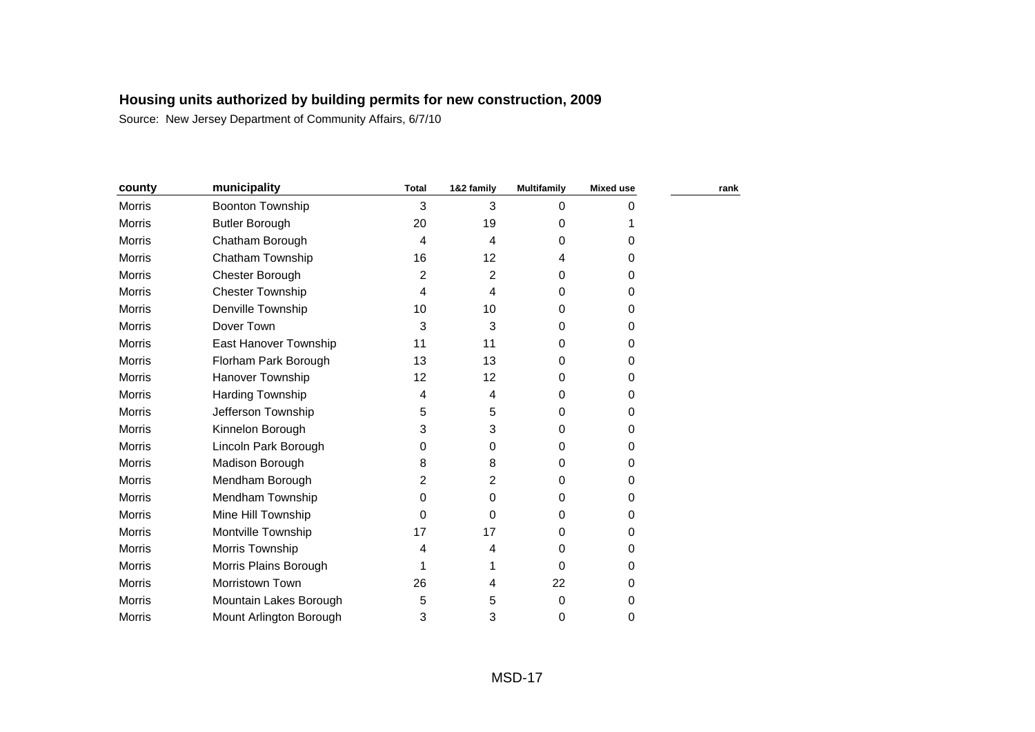| county        | municipality            | <b>Total</b>   | 1&2 family     | <b>Multifamily</b> | <b>Mixed use</b> | rank |
|---------------|-------------------------|----------------|----------------|--------------------|------------------|------|
| Morris        | Boonton Township        | 3              | 3              | 0                  | Ω                |      |
| <b>Morris</b> | <b>Butler Borough</b>   | 20             | 19             | 0                  |                  |      |
| <b>Morris</b> | Chatham Borough         | 4              | 4              | 0                  | 0                |      |
| <b>Morris</b> | Chatham Township        | 16             | 12             | 4                  | 0                |      |
| Morris        | Chester Borough         | 2              | 2              | 0                  | 0                |      |
| <b>Morris</b> | <b>Chester Township</b> | 4              | 4              | 0                  | 0                |      |
| <b>Morris</b> | Denville Township       | 10             | 10             | 0                  | 0                |      |
| <b>Morris</b> | Dover Town              | 3              | 3              | 0                  | 0                |      |
| <b>Morris</b> | East Hanover Township   | 11             | 11             | 0                  | 0                |      |
| Morris        | Florham Park Borough    | 13             | 13             | 0                  | 0                |      |
| <b>Morris</b> | Hanover Township        | 12             | 12             | 0                  | 0                |      |
| <b>Morris</b> | Harding Township        | 4              | 4              | 0                  | 0                |      |
| <b>Morris</b> | Jefferson Township      | 5              | 5              | 0                  | 0                |      |
| <b>Morris</b> | Kinnelon Borough        | 3              | 3              | 0                  | 0                |      |
| <b>Morris</b> | Lincoln Park Borough    | 0              | 0              | 0                  | 0                |      |
| <b>Morris</b> | Madison Borough         | 8              | 8              | 0                  | 0                |      |
| Morris        | Mendham Borough         | $\overline{2}$ | $\overline{2}$ | 0                  | 0                |      |
| <b>Morris</b> | Mendham Township        | 0              | 0              | 0                  | 0                |      |
| <b>Morris</b> | Mine Hill Township      | 0              | 0              | 0                  | 0                |      |
| <b>Morris</b> | Montville Township      | 17             | 17             | 0                  | 0                |      |
| <b>Morris</b> | Morris Township         | 4              | 4              | 0                  | 0                |      |
| Morris        | Morris Plains Borough   |                |                | $\Omega$           | 0                |      |
| Morris        | Morristown Town         | 26             | 4              | 22                 | 0                |      |
| <b>Morris</b> | Mountain Lakes Borough  | 5              | 5              | $\mathbf 0$        | 0                |      |
| <b>Morris</b> | Mount Arlington Borough | 3              | 3              | 0                  | 0                |      |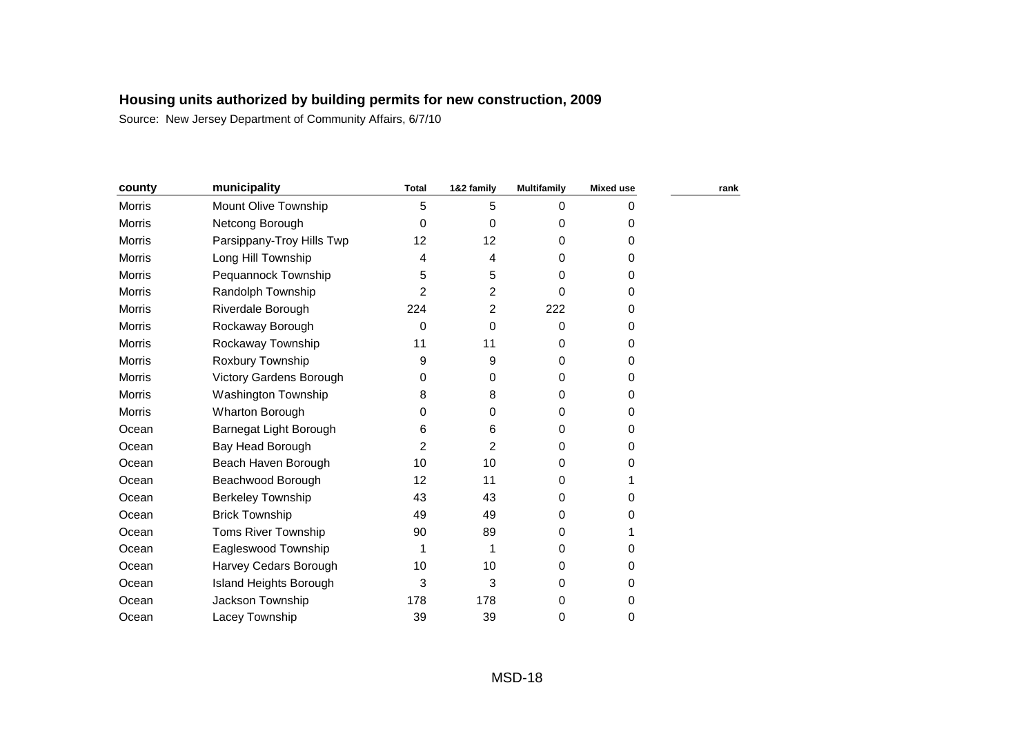| county        | municipality              | <b>Total</b> | 1&2 family | <b>Multifamily</b> | <b>Mixed use</b> | rank |
|---------------|---------------------------|--------------|------------|--------------------|------------------|------|
| Morris        | Mount Olive Township      | 5            | 5          | 0                  |                  |      |
| <b>Morris</b> | Netcong Borough           | 0            | 0          | 0                  | 0                |      |
| Morris        | Parsippany-Troy Hills Twp | 12           | 12         | 0                  | 0                |      |
| <b>Morris</b> | Long Hill Township        | 4            | 4          | 0                  | 0                |      |
| Morris        | Pequannock Township       | 5            | 5          | 0                  | 0                |      |
| Morris        | Randolph Township         | 2            | 2          | 0                  | 0                |      |
| <b>Morris</b> | Riverdale Borough         | 224          | 2          | 222                | 0                |      |
| <b>Morris</b> | Rockaway Borough          | 0            | 0          | 0                  | 0                |      |
| Morris        | Rockaway Township         | 11           | 11         | $\Omega$           | 0                |      |
| Morris        | Roxbury Township          | 9            | 9          | 0                  | 0                |      |
| <b>Morris</b> | Victory Gardens Borough   | 0            | 0          | 0                  | 0                |      |
| Morris        | Washington Township       | 8            | 8          | 0                  | 0                |      |
| Morris        | Wharton Borough           | 0            | 0          | 0                  | 0                |      |
| Ocean         | Barnegat Light Borough    | 6            | 6          | 0                  | 0                |      |
| Ocean         | Bay Head Borough          | 2            | 2          | 0                  | 0                |      |
| Ocean         | Beach Haven Borough       | 10           | 10         | 0                  | 0                |      |
| Ocean         | Beachwood Borough         | 12           | 11         | 0                  |                  |      |
| Ocean         | <b>Berkeley Township</b>  | 43           | 43         | 0                  | 0                |      |
| Ocean         | <b>Brick Township</b>     | 49           | 49         | 0                  | O                |      |
| Ocean         | Toms River Township       | 90           | 89         | 0                  |                  |      |
| Ocean         | Eagleswood Township       |              |            | 0                  | 0                |      |
| Ocean         | Harvey Cedars Borough     | 10           | 10         | 0                  | 0                |      |
| Ocean         | Island Heights Borough    | 3            | 3          | 0                  | 0                |      |
| Ocean         | Jackson Township          | 178          | 178        | 0                  | 0                |      |
| Ocean         | Lacey Township            | 39           | 39         | 0                  | 0                |      |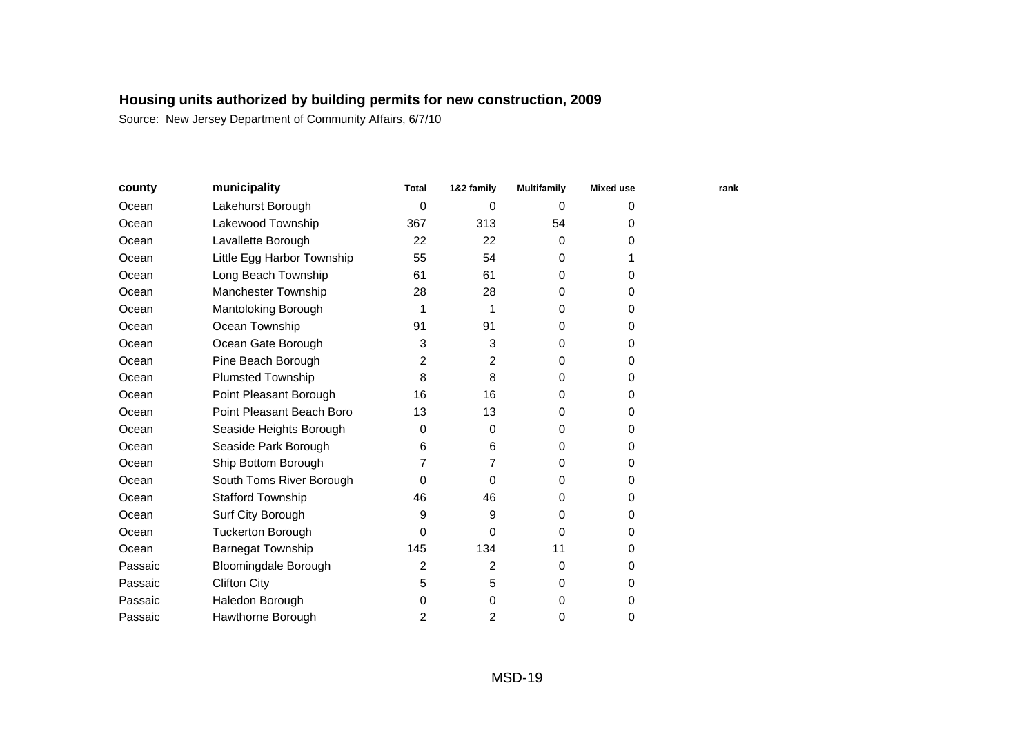| county  | municipality                | <b>Total</b> | 1&2 family     | <b>Multifamily</b> | <b>Mixed use</b> | rank |
|---------|-----------------------------|--------------|----------------|--------------------|------------------|------|
| Ocean   | Lakehurst Borough           | 0            | 0              | $\Omega$           | Ω                |      |
| Ocean   | Lakewood Township           | 367          | 313            | 54                 | 0                |      |
| Ocean   | Lavallette Borough          | 22           | 22             | 0                  | 0                |      |
| Ocean   | Little Egg Harbor Township  | 55           | 54             | 0                  |                  |      |
| Ocean   | Long Beach Township         | 61           | 61             | 0                  | 0                |      |
| Ocean   | <b>Manchester Township</b>  | 28           | 28             | 0                  | 0                |      |
| Ocean   | Mantoloking Borough         | 1            |                | 0                  | 0                |      |
| Ocean   | Ocean Township              | 91           | 91             | 0                  | 0                |      |
| Ocean   | Ocean Gate Borough          | 3            | 3              | 0                  | 0                |      |
| Ocean   | Pine Beach Borough          | 2            | 2              | 0                  | 0                |      |
| Ocean   | <b>Plumsted Township</b>    | 8            | 8              | 0                  | 0                |      |
| Ocean   | Point Pleasant Borough      | 16           | 16             | 0                  | 0                |      |
| Ocean   | Point Pleasant Beach Boro   | 13           | 13             | 0                  | 0                |      |
| Ocean   | Seaside Heights Borough     | 0            | 0              | 0                  | 0                |      |
| Ocean   | Seaside Park Borough        | 6            | 6              | 0                  | 0                |      |
| Ocean   | Ship Bottom Borough         | 7            | 7              | 0                  | 0                |      |
| Ocean   | South Toms River Borough    | 0            | 0              | 0                  | 0                |      |
| Ocean   | <b>Stafford Township</b>    | 46           | 46             | 0                  | 0                |      |
| Ocean   | Surf City Borough           | 9            | 9              | 0                  | 0                |      |
| Ocean   | <b>Tuckerton Borough</b>    | 0            | 0              | 0                  | 0                |      |
| Ocean   | Barnegat Township           | 145          | 134            | 11                 | 0                |      |
| Passaic | <b>Bloomingdale Borough</b> | 2            | $\overline{2}$ | 0                  | 0                |      |
| Passaic | <b>Clifton City</b>         | 5            | 5              | 0                  | 0                |      |
| Passaic | Haledon Borough             | 0            | 0              | 0                  | 0                |      |
| Passaic | Hawthorne Borough           | 2            | 2              | 0                  | 0                |      |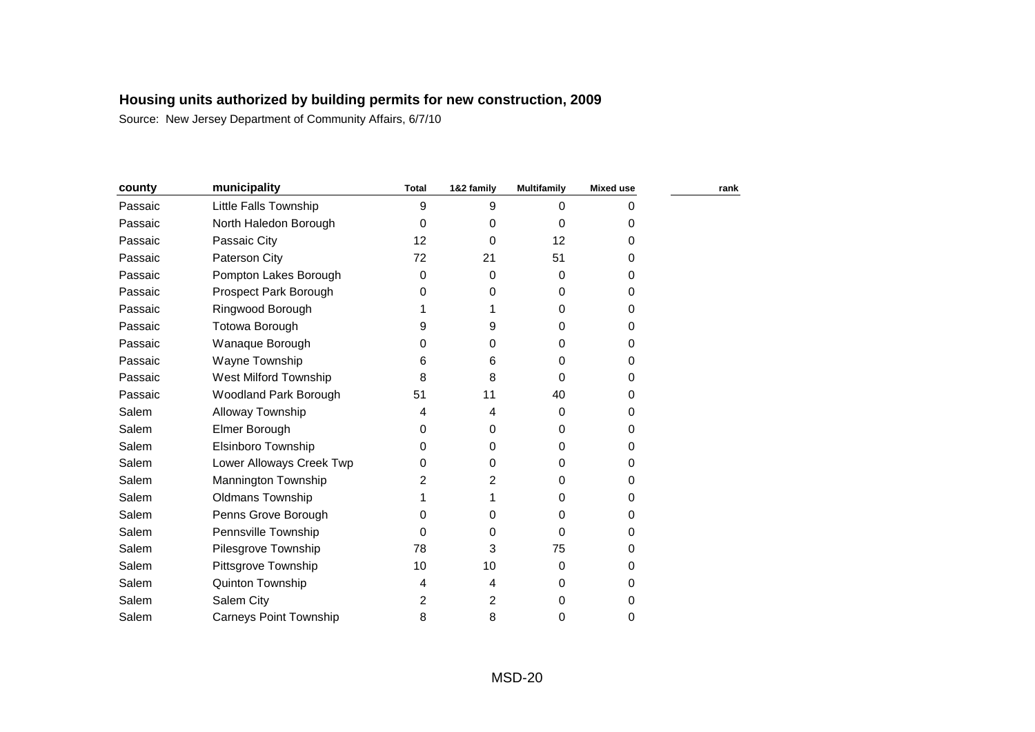| county  | municipality                  | <b>Total</b> | 1&2 family | <b>Multifamily</b> | <b>Mixed use</b> | rank |
|---------|-------------------------------|--------------|------------|--------------------|------------------|------|
| Passaic | Little Falls Township         | 9            | 9          | 0                  |                  |      |
| Passaic | North Haledon Borough         | 0            | 0          | 0                  | 0                |      |
| Passaic | Passaic City                  | 12           | 0          | 12                 | 0                |      |
| Passaic | Paterson City                 | 72           | 21         | 51                 | 0                |      |
| Passaic | Pompton Lakes Borough         | 0            | $\Omega$   | $\Omega$           | 0                |      |
| Passaic | Prospect Park Borough         | 0            | 0          | 0                  | 0                |      |
| Passaic | Ringwood Borough              |              |            | 0                  | 0                |      |
| Passaic | Totowa Borough                | 9            | 9          | 0                  | 0                |      |
| Passaic | Wanaque Borough               | 0            | $\Omega$   | $\Omega$           | 0                |      |
| Passaic | Wayne Township                | 6            | 6          | 0                  | 0                |      |
| Passaic | West Milford Township         | 8            | 8          | $\Omega$           | 0                |      |
| Passaic | Woodland Park Borough         | 51           | 11         | 40                 | 0                |      |
| Salem   | Alloway Township              | 4            | 4          | 0                  | 0                |      |
| Salem   | Elmer Borough                 | 0            | 0          | 0                  | 0                |      |
| Salem   | <b>Elsinboro Township</b>     | 0            | 0          | 0                  | 0                |      |
| Salem   | Lower Alloways Creek Twp      | 0            | 0          | 0                  | 0                |      |
| Salem   | Mannington Township           | 2            | 2          | 0                  | 0                |      |
| Salem   | <b>Oldmans Township</b>       |              |            | 0                  | 0                |      |
| Salem   | Penns Grove Borough           | 0            | 0          | 0                  | 0                |      |
| Salem   | Pennsville Township           | 0            | 0          | $\Omega$           | 0                |      |
| Salem   | Pilesgrove Township           | 78           | 3          | 75                 | 0                |      |
| Salem   | Pittsgrove Township           | 10           | 10         | 0                  | 0                |      |
| Salem   | Quinton Township              | 4            | 4          | 0                  | 0                |      |
| Salem   | Salem City                    | 2            | 2          | 0                  | 0                |      |
| Salem   | <b>Carneys Point Township</b> | 8            | 8          | 0                  | 0                |      |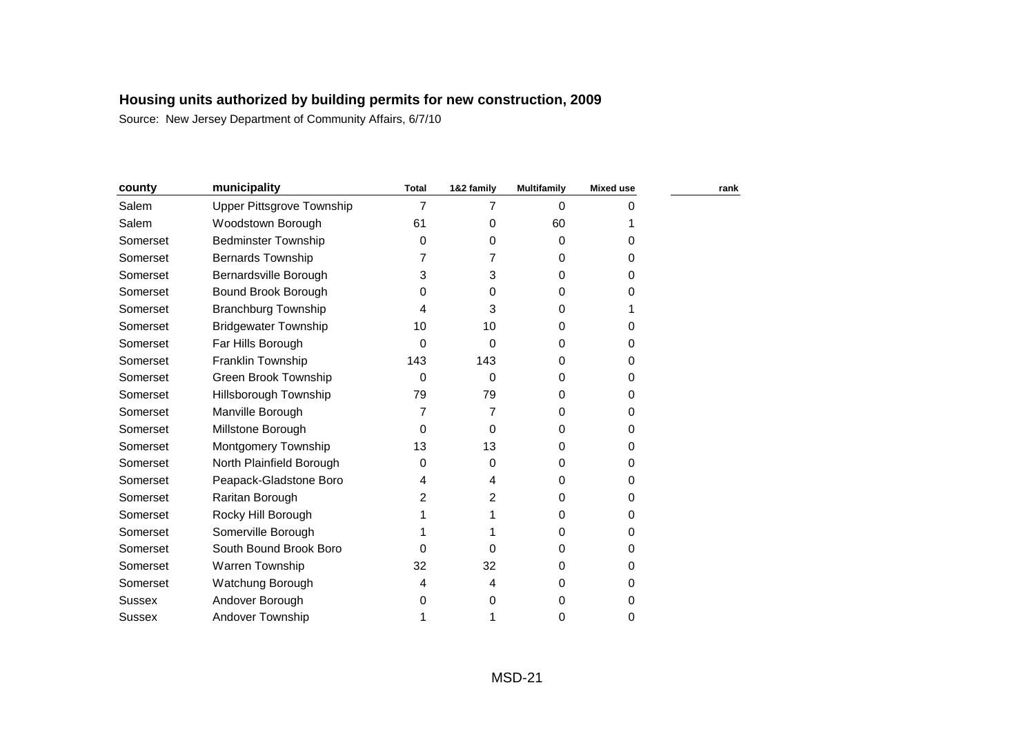| county        | municipality                | <b>Total</b> | 1&2 family | <b>Multifamily</b> | <b>Mixed use</b> | rank |
|---------------|-----------------------------|--------------|------------|--------------------|------------------|------|
| Salem         | Upper Pittsgrove Township   | 7            | 7          | $\Omega$           |                  |      |
| Salem         | Woodstown Borough           | 61           | 0          | 60                 |                  |      |
| Somerset      | <b>Bedminster Township</b>  | 0            | 0          | 0                  | 0                |      |
| Somerset      | <b>Bernards Township</b>    | 7            | 7          | 0                  | 0                |      |
| Somerset      | Bernardsville Borough       | 3            | 3          | 0                  | 0                |      |
| Somerset      | Bound Brook Borough         | 0            | 0          | 0                  | 0                |      |
| Somerset      | <b>Branchburg Township</b>  | 4            | 3          | 0                  |                  |      |
| Somerset      | <b>Bridgewater Township</b> | 10           | 10         | 0                  | 0                |      |
| Somerset      | Far Hills Borough           | 0            | $\Omega$   | 0                  | 0                |      |
| Somerset      | Franklin Township           | 143          | 143        | 0                  | 0                |      |
| Somerset      | Green Brook Township        | 0            | 0          | 0                  | 0                |      |
| Somerset      | Hillsborough Township       | 79           | 79         | 0                  | 0                |      |
| Somerset      | Manville Borough            | 7            | 7          | 0                  | 0                |      |
| Somerset      | Millstone Borough           | 0            | 0          | 0                  | 0                |      |
| Somerset      | Montgomery Township         | 13           | 13         | 0                  | 0                |      |
| Somerset      | North Plainfield Borough    | 0            | 0          | 0                  | 0                |      |
| Somerset      | Peapack-Gladstone Boro      | 4            | 4          | 0                  | 0                |      |
| Somerset      | Raritan Borough             | 2            | 2          | 0                  | 0                |      |
| Somerset      | Rocky Hill Borough          |              |            | 0                  | 0                |      |
| Somerset      | Somerville Borough          |              |            | 0                  | 0                |      |
| Somerset      | South Bound Brook Boro      | O            | 0          | 0                  | 0                |      |
| Somerset      | Warren Township             | 32           | 32         | 0                  | 0                |      |
| Somerset      | Watchung Borough            | 4            | 4          | 0                  | 0                |      |
| <b>Sussex</b> | Andover Borough             | 0            | 0          | 0                  | 0                |      |
| <b>Sussex</b> | Andover Township            | 1            |            | 0                  | 0                |      |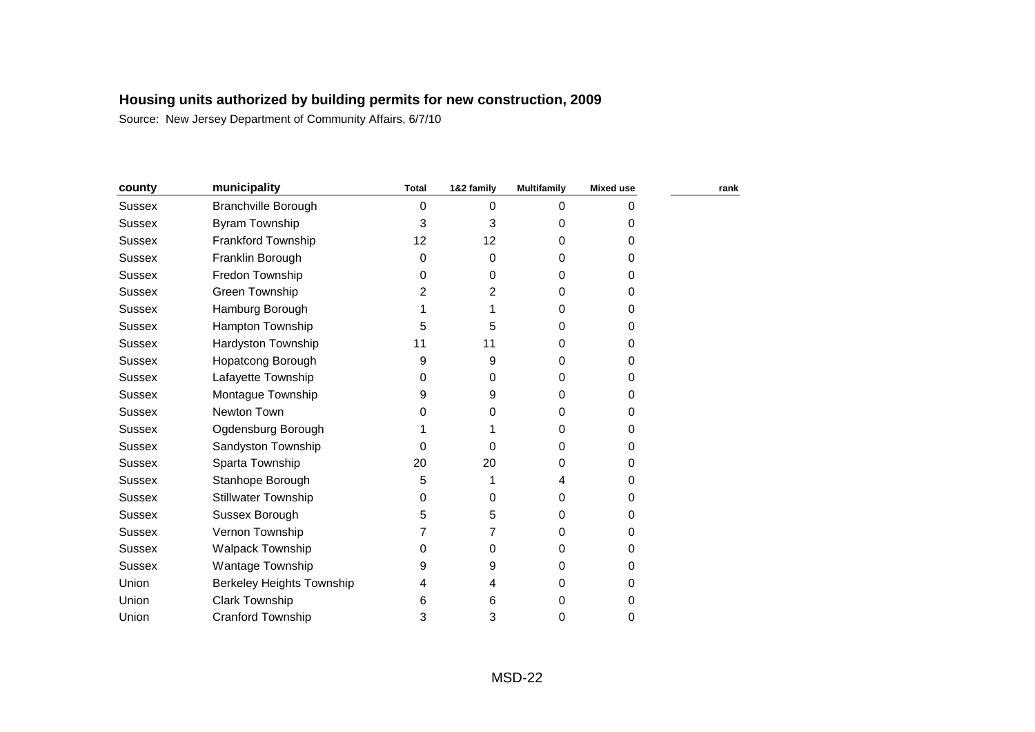| county        | municipality               | <b>Total</b> | 1&2 family  | <b>Multifamily</b> | <b>Mixed use</b> | rank |
|---------------|----------------------------|--------------|-------------|--------------------|------------------|------|
| <b>Sussex</b> | Branchville Borough        | 0            | 0           | 0                  | 0                |      |
| Sussex        | <b>Byram Township</b>      | 3            | 3           | 0                  | 0                |      |
| <b>Sussex</b> | Frankford Township         | 12           | 12          | 0                  | 0                |      |
| Sussex        | Franklin Borough           | 0            | $\mathbf 0$ | 0                  | 0                |      |
| <b>Sussex</b> | Fredon Township            | 0            | 0           | 0                  | 0                |      |
| <b>Sussex</b> | Green Township             | 2            | 2           | 0                  | 0                |      |
| Sussex        | Hamburg Borough            |              |             | 0                  | 0                |      |
| <b>Sussex</b> | Hampton Township           | 5            | 5           | 0                  | 0                |      |
| <b>Sussex</b> | Hardyston Township         | 11           | 11          | 0                  | 0                |      |
| <b>Sussex</b> | Hopatcong Borough          | 9            | 9           | 0                  | 0                |      |
| <b>Sussex</b> | Lafayette Township         | 0            | 0           | 0                  | 0                |      |
| <b>Sussex</b> | Montague Township          | 9            | 9           | O                  | 0                |      |
| <b>Sussex</b> | Newton Town                | 0            | 0           | 0                  | 0                |      |
| <b>Sussex</b> | Ogdensburg Borough         |              |             | 0                  | 0                |      |
| <b>Sussex</b> | Sandyston Township         | 0            | 0           | 0                  | 0                |      |
| <b>Sussex</b> | Sparta Township            | 20           | 20          | 0                  | 0                |      |
| <b>Sussex</b> | Stanhope Borough           | 5            |             | 4                  | 0                |      |
| Sussex        | <b>Stillwater Township</b> | 0            | 0           | 0                  | 0                |      |
| Sussex        | Sussex Borough             | 5            | 5           | 0                  | 0                |      |
| <b>Sussex</b> | Vernon Township            | 7            |             | 0                  | 0                |      |
| Sussex        | <b>Walpack Township</b>    | 0            | 0           | 0                  | 0                |      |
| <b>Sussex</b> | Wantage Township           | 9            | 9           | 0                  | 0                |      |
| Union         | Berkeley Heights Township  | 4            | 4           | 0                  | 0                |      |
| Union         | <b>Clark Township</b>      | 6            | 6           | 0                  | 0                |      |
| Union         | <b>Cranford Township</b>   | 3            | 3           | 0                  | 0                |      |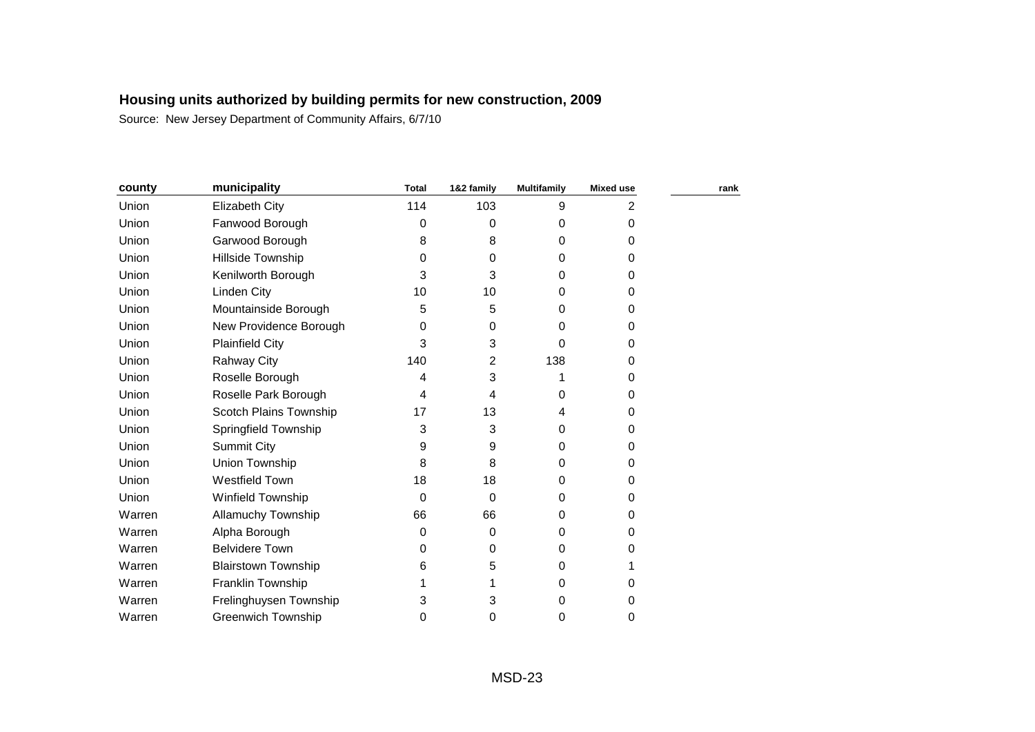| county | municipality               | <b>Total</b> | 1&2 family     | <b>Multifamily</b> | <b>Mixed use</b> | rank |
|--------|----------------------------|--------------|----------------|--------------------|------------------|------|
| Union  | <b>Elizabeth City</b>      | 114          | 103            | 9                  | 2                |      |
| Union  | Fanwood Borough            | 0            | 0              | 0                  | 0                |      |
| Union  | Garwood Borough            | 8            | 8              | 0                  | 0                |      |
| Union  | Hillside Township          | 0            | $\mathbf 0$    | 0                  | 0                |      |
| Union  | Kenilworth Borough         | 3            | 3              | 0                  | 0                |      |
| Union  | Linden City                | 10           | 10             | 0                  | 0                |      |
| Union  | Mountainside Borough       | 5            | 5              | 0                  | 0                |      |
| Union  | New Providence Borough     | 0            | $\mathbf 0$    | 0                  | 0                |      |
| Union  | <b>Plainfield City</b>     | 3            | 3              | 0                  | 0                |      |
| Union  | Rahway City                | 140          | $\overline{c}$ | 138                | 0                |      |
| Union  | Roselle Borough            | 4            | 3              |                    | 0                |      |
| Union  | Roselle Park Borough       | 4            | 4              | 0                  | 0                |      |
| Union  | Scotch Plains Township     | 17           | 13             | 4                  | 0                |      |
| Union  | Springfield Township       | 3            | 3              | 0                  | 0                |      |
| Union  | <b>Summit City</b>         | 9            | 9              | 0                  | 0                |      |
| Union  | Union Township             | 8            | 8              | 0                  | 0                |      |
| Union  | <b>Westfield Town</b>      | 18           | 18             | 0                  | 0                |      |
| Union  | Winfield Township          | 0            | 0              | 0                  | 0                |      |
| Warren | Allamuchy Township         | 66           | 66             | 0                  | 0                |      |
| Warren | Alpha Borough              | 0            | $\Omega$       | 0                  | 0                |      |
| Warren | <b>Belvidere Town</b>      | 0            | 0              | 0                  | 0                |      |
| Warren | <b>Blairstown Township</b> | 6            | 5              | 0                  |                  |      |
| Warren | Franklin Township          |              |                | 0                  | 0                |      |
| Warren | Frelinghuysen Township     | 3            | 3              | 0                  | 0                |      |
| Warren | <b>Greenwich Township</b>  | 0            | 0              | 0                  | 0                |      |